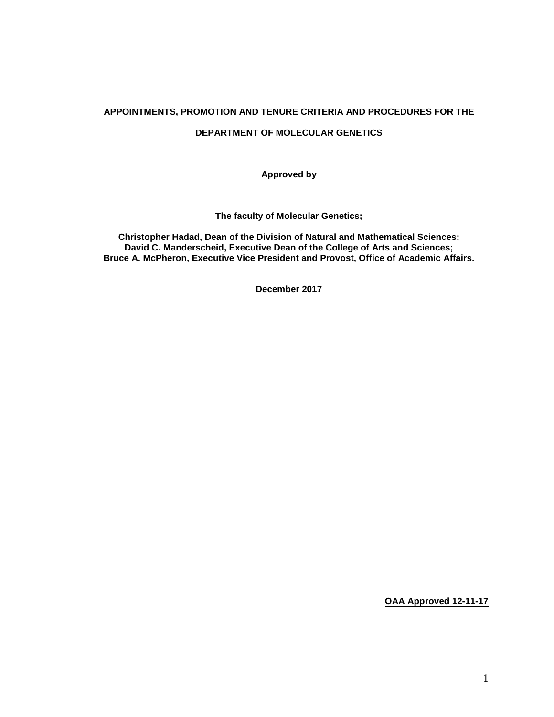#### **APPOINTMENTS, PROMOTION AND TENURE CRITERIA AND PROCEDURES FOR THE**

#### **DEPARTMENT OF MOLECULAR GENETICS**

**Approved by**

**The faculty of Molecular Genetics;** 

**Christopher Hadad, Dean of the Division of Natural and Mathematical Sciences; David C. Manderscheid, Executive Dean of the College of Arts and Sciences; Bruce A. McPheron, Executive Vice President and Provost, Office of Academic Affairs.**

**December 2017**

**OAA Approved 12-11-17**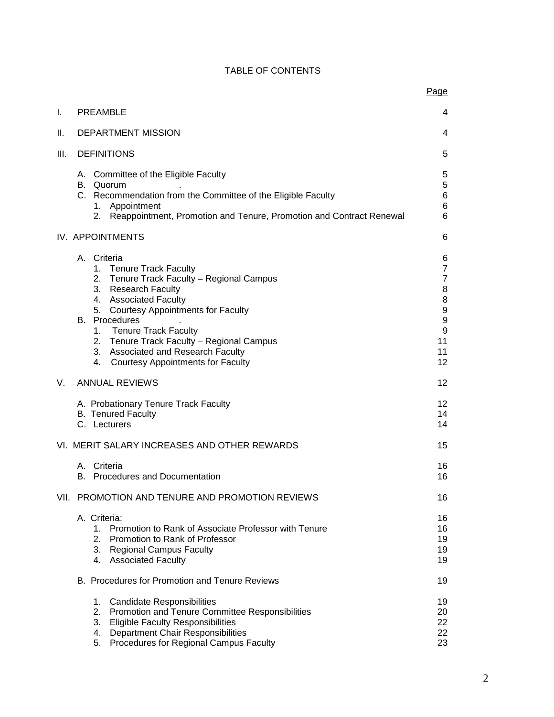|      |                                                                                                                                                                                                                                                                                                                                                                                                      | Page                                                                                                                                |  |
|------|------------------------------------------------------------------------------------------------------------------------------------------------------------------------------------------------------------------------------------------------------------------------------------------------------------------------------------------------------------------------------------------------------|-------------------------------------------------------------------------------------------------------------------------------------|--|
| I.   | <b>PREAMBLE</b>                                                                                                                                                                                                                                                                                                                                                                                      | 4                                                                                                                                   |  |
| Н.   | <b>DEPARTMENT MISSION</b>                                                                                                                                                                                                                                                                                                                                                                            |                                                                                                                                     |  |
| III. | <b>DEFINITIONS</b>                                                                                                                                                                                                                                                                                                                                                                                   |                                                                                                                                     |  |
|      | A. Committee of the Eligible Faculty<br>B. Quorum<br>C. Recommendation from the Committee of the Eligible Faculty<br>1. Appointment<br>2. Reappointment, Promotion and Tenure, Promotion and Contract Renewal                                                                                                                                                                                        | 5<br>$\mathbf 5$<br>$\,6$<br>6<br>6                                                                                                 |  |
|      | <b>IV. APPOINTMENTS</b>                                                                                                                                                                                                                                                                                                                                                                              | 6                                                                                                                                   |  |
|      | A. Criteria<br>1. Tenure Track Faculty<br>Tenure Track Faculty - Regional Campus<br>2.<br>3.<br><b>Research Faculty</b><br>4. Associated Faculty<br>5. Courtesy Appointments for Faculty<br><b>B.</b> Procedures<br><b>Tenure Track Faculty</b><br>1.<br>2. Tenure Track Faculty - Regional Campus<br><b>Associated and Research Faculty</b><br>3.<br><b>Courtesy Appointments for Faculty</b><br>4. | 6<br>$\overline{7}$<br>$\overline{7}$<br>8<br>$\bf 8$<br>$\boldsymbol{9}$<br>$\boldsymbol{9}$<br>$\boldsymbol{9}$<br>11<br>11<br>12 |  |
| V.   | <b>ANNUAL REVIEWS</b>                                                                                                                                                                                                                                                                                                                                                                                | 12                                                                                                                                  |  |
|      | A. Probationary Tenure Track Faculty<br><b>B.</b> Tenured Faculty<br>C. Lecturers                                                                                                                                                                                                                                                                                                                    | 12<br>14<br>14                                                                                                                      |  |
|      | VI. MERIT SALARY INCREASES AND OTHER REWARDS                                                                                                                                                                                                                                                                                                                                                         | 15                                                                                                                                  |  |
|      | Criteria<br>А.<br>B. Procedures and Documentation                                                                                                                                                                                                                                                                                                                                                    | 16<br>16                                                                                                                            |  |
|      | VII. PROMOTION AND TENURE AND PROMOTION REVIEWS                                                                                                                                                                                                                                                                                                                                                      | 16                                                                                                                                  |  |
|      | A. Criteria:<br>1. Promotion to Rank of Associate Professor with Tenure<br>2.<br>Promotion to Rank of Professor<br>3. Regional Campus Faculty<br>4. Associated Faculty                                                                                                                                                                                                                               | 16<br>16<br>19<br>19<br>19                                                                                                          |  |
|      | B. Procedures for Promotion and Tenure Reviews                                                                                                                                                                                                                                                                                                                                                       | 19                                                                                                                                  |  |
|      | <b>Candidate Responsibilities</b><br>1.<br>2.<br>Promotion and Tenure Committee Responsibilities<br>3.<br><b>Eligible Faculty Responsibilities</b><br><b>Department Chair Responsibilities</b><br>4.<br>Procedures for Regional Campus Faculty<br>5.                                                                                                                                                 | 19<br>20<br>22<br>22<br>23                                                                                                          |  |

# TABLE OF CONTENTS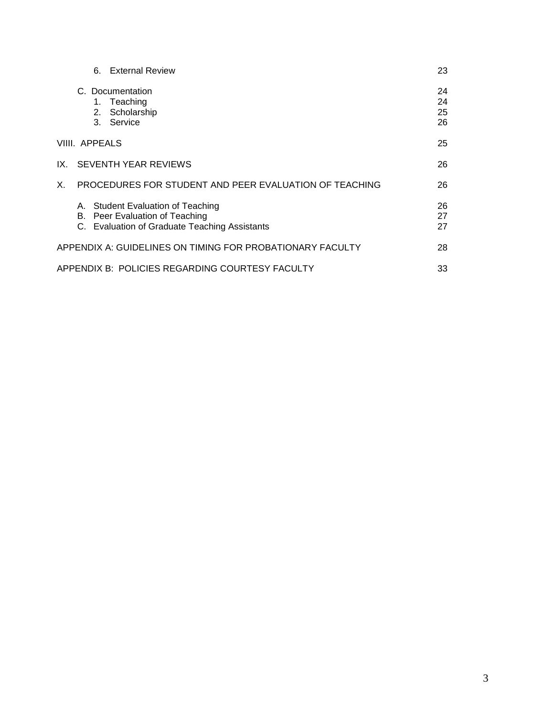|    |                | 6. External Review                                                                                                   | 23                   |
|----|----------------|----------------------------------------------------------------------------------------------------------------------|----------------------|
|    | 2.<br>3.       | C. Documentation<br>1. Teaching<br>Scholarship<br>Service                                                            | 24<br>24<br>25<br>26 |
|    | VIIII. APPEALS |                                                                                                                      | 25                   |
|    |                | IX. SEVENTH YEAR REVIEWS                                                                                             | 26                   |
| Х. |                | PROCEDURES FOR STUDENT AND PEER EVALUATION OF TEACHING                                                               | 26                   |
|    |                | A. Student Evaluation of Teaching<br>B. Peer Evaluation of Teaching<br>C. Evaluation of Graduate Teaching Assistants | 26<br>27<br>27       |
|    |                | APPENDIX A: GUIDELINES ON TIMING FOR PROBATIONARY FACULTY                                                            | 28                   |
|    |                | APPENDIX B:  POLICIES REGARDING COURTESY FACULTY                                                                     | 33                   |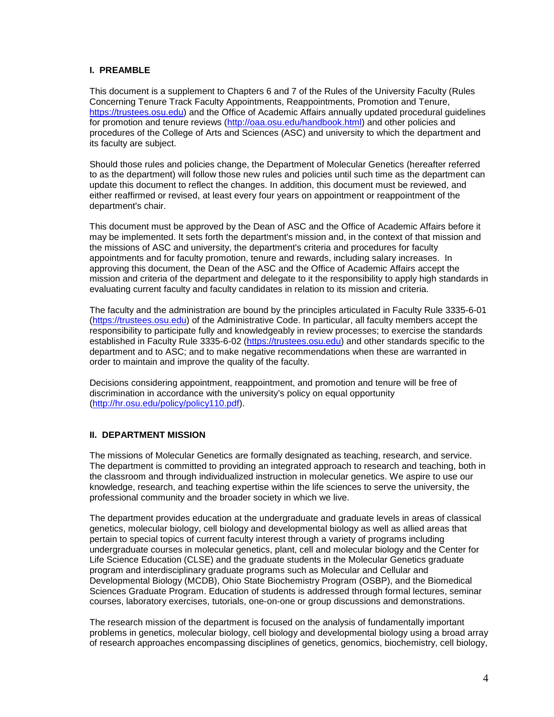### **I. PREAMBLE**

This document is a supplement to Chapters 6 and 7 of the Rules of the University Faculty (Rules Concerning Tenure Track Faculty Appointments, Reappointments, Promotion and Tenure, [https://trustees.osu.edu\)](https://trustees.osu.edu/) and the Office of Academic Affairs annually updated procedural guidelines for promotion and tenure reviews [\(http://oaa.osu.edu/handbook.html\)](http://oaa.osu.edu/handbook.html) and other policies and procedures of the College of Arts and Sciences (ASC) and university to which the department and its faculty are subject.

Should those rules and policies change, the Department of Molecular Genetics (hereafter referred to as the department) will follow those new rules and policies until such time as the department can update this document to reflect the changes. In addition, this document must be reviewed, and either reaffirmed or revised, at least every four years on appointment or reappointment of the department's chair.

This document must be approved by the Dean of ASC and the Office of Academic Affairs before it may be implemented. It sets forth the department's mission and, in the context of that mission and the missions of ASC and university, the department's criteria and procedures for faculty appointments and for faculty promotion, tenure and rewards, including salary increases. In approving this document, the Dean of the ASC and the Office of Academic Affairs accept the mission and criteria of the department and delegate to it the responsibility to apply high standards in evaluating current faculty and faculty candidates in relation to its mission and criteria.

The faculty and the administration are bound by the principles articulated in Faculty Rule 3335-6-01 [\(https://trustees.osu.edu\)](https://trustees.osu.edu/) of the Administrative Code. In particular, all faculty members accept the responsibility to participate fully and knowledgeably in review processes; to exercise the standards established in Faculty Rule 3335-6-02 [\(https://trustees.osu.edu\)](https://trustees.osu.edu/) and other standards specific to the department and to ASC; and to make negative recommendations when these are warranted in order to maintain and improve the quality of the faculty.

Decisions considering appointment, reappointment, and promotion and tenure will be free of discrimination in accordance with the university's policy on equal opportunity [\(http://hr.osu.edu/policy/policy110.pdf\)](http://hr.osu.edu/policy/policy110.pdf).

### **II. DEPARTMENT MISSION**

The missions of Molecular Genetics are formally designated as teaching, research, and service. The department is committed to providing an integrated approach to research and teaching, both in the classroom and through individualized instruction in molecular genetics. We aspire to use our knowledge, research, and teaching expertise within the life sciences to serve the university, the professional community and the broader society in which we live.

The department provides education at the undergraduate and graduate levels in areas of classical genetics, molecular biology, cell biology and developmental biology as well as allied areas that pertain to special topics of current faculty interest through a variety of programs including undergraduate courses in molecular genetics, plant, cell and molecular biology and the Center for Life Science Education (CLSE) and the graduate students in the Molecular Genetics graduate program and interdisciplinary graduate programs such as Molecular and Cellular and Developmental Biology (MCDB), Ohio State Biochemistry Program (OSBP), and the Biomedical Sciences Graduate Program. Education of students is addressed through formal lectures, seminar courses, laboratory exercises, tutorials, one-on-one or group discussions and demonstrations.

The research mission of the department is focused on the analysis of fundamentally important problems in genetics, molecular biology, cell biology and developmental biology using a broad array of research approaches encompassing disciplines of genetics, genomics, biochemistry, cell biology,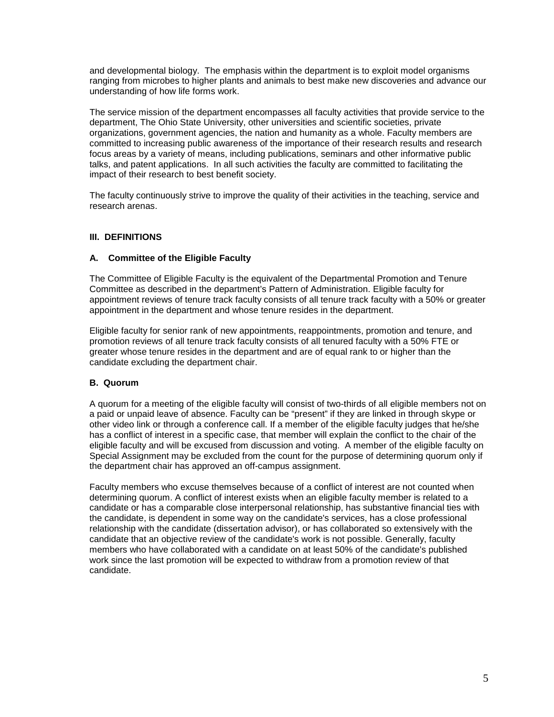and developmental biology. The emphasis within the department is to exploit model organisms ranging from microbes to higher plants and animals to best make new discoveries and advance our understanding of how life forms work.

The service mission of the department encompasses all faculty activities that provide service to the department, The Ohio State University, other universities and scientific societies, private organizations, government agencies, the nation and humanity as a whole. Faculty members are committed to increasing public awareness of the importance of their research results and research focus areas by a variety of means, including publications, seminars and other informative public talks, and patent applications. In all such activities the faculty are committed to facilitating the impact of their research to best benefit society.

The faculty continuously strive to improve the quality of their activities in the teaching, service and research arenas.

#### **III. DEFINITIONS**

#### **A. Committee of the Eligible Faculty**

The Committee of Eligible Faculty is the equivalent of the Departmental Promotion and Tenure Committee as described in the department's Pattern of Administration. Eligible faculty for appointment reviews of tenure track faculty consists of all tenure track faculty with a 50% or greater appointment in the department and whose tenure resides in the department.

Eligible faculty for senior rank of new appointments, reappointments, promotion and tenure, and promotion reviews of all tenure track faculty consists of all tenured faculty with a 50% FTE or greater whose tenure resides in the department and are of equal rank to or higher than the candidate excluding the department chair.

### **B. Quorum**

A quorum for a meeting of the eligible faculty will consist of two-thirds of all eligible members not on a paid or unpaid leave of absence. Faculty can be "present" if they are linked in through skype or other video link or through a conference call. If a member of the eligible faculty judges that he/she has a conflict of interest in a specific case, that member will explain the conflict to the chair of the eligible faculty and will be excused from discussion and voting. A member of the eligible faculty on Special Assignment may be excluded from the count for the purpose of determining quorum only if the department chair has approved an off-campus assignment.

Faculty members who excuse themselves because of a conflict of interest are not counted when determining quorum. A conflict of interest exists when an eligible faculty member is related to a candidate or has a comparable close interpersonal relationship, has substantive financial ties with the candidate, is dependent in some way on the candidate's services, has a close professional relationship with the candidate (dissertation advisor), or has collaborated so extensively with the candidate that an objective review of the candidate's work is not possible. Generally, faculty members who have collaborated with a candidate on at least 50% of the candidate's published work since the last promotion will be expected to withdraw from a promotion review of that candidate.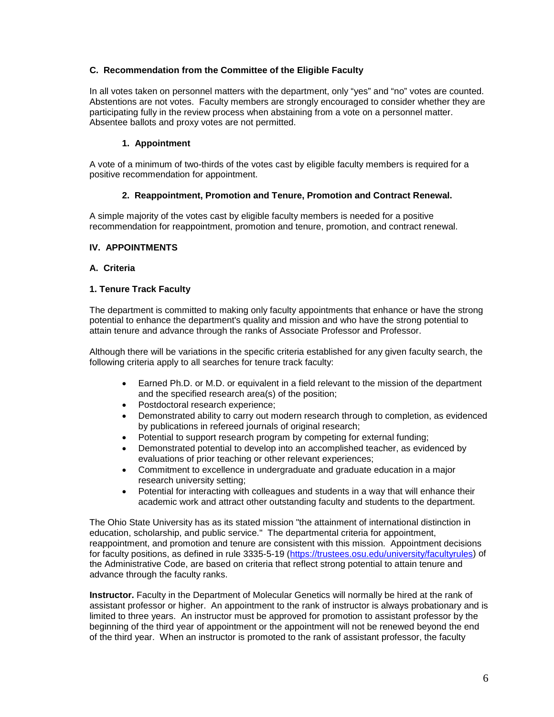### **C. Recommendation from the Committee of the Eligible Faculty**

In all votes taken on personnel matters with the department, only "yes" and "no" votes are counted. Abstentions are not votes. Faculty members are strongly encouraged to consider whether they are participating fully in the review process when abstaining from a vote on a personnel matter. Absentee ballots and proxy votes are not permitted.

### **1. Appointment**

A vote of a minimum of two-thirds of the votes cast by eligible faculty members is required for a positive recommendation for appointment.

### **2. Reappointment, Promotion and Tenure, Promotion and Contract Renewal.**

A simple majority of the votes cast by eligible faculty members is needed for a positive recommendation for reappointment, promotion and tenure, promotion, and contract renewal.

### **IV. APPOINTMENTS**

### **A. Criteria**

### **1. Tenure Track Faculty**

The department is committed to making only faculty appointments that enhance or have the strong potential to enhance the department's quality and mission and who have the strong potential to attain tenure and advance through the ranks of Associate Professor and Professor.

Although there will be variations in the specific criteria established for any given faculty search, the following criteria apply to all searches for tenure track faculty:

- Earned Ph.D. or M.D. or equivalent in a field relevant to the mission of the department and the specified research area(s) of the position;
- Postdoctoral research experience;
- Demonstrated ability to carry out modern research through to completion, as evidenced by publications in refereed journals of original research;
- Potential to support research program by competing for external funding;
- Demonstrated potential to develop into an accomplished teacher, as evidenced by evaluations of prior teaching or other relevant experiences;
- Commitment to excellence in undergraduate and graduate education in a major research university setting;
- Potential for interacting with colleagues and students in a way that will enhance their academic work and attract other outstanding faculty and students to the department.

The Ohio State University has as its stated mission "the attainment of international distinction in education, scholarship, and public service." The departmental criteria for appointment, reappointment, and promotion and tenure are consistent with this mission. Appointment decisions for faculty positions, as defined in rule 3335-5-19 [\(https://trustees.osu.edu/university/facultyrules\)](https://trustees.osu.edu/university/facultyrules) of the Administrative Code, are based on criteria that reflect strong potential to attain tenure and advance through the faculty ranks.

**Instructor.** Faculty in the Department of Molecular Genetics will normally be hired at the rank of assistant professor or higher. An appointment to the rank of instructor is always probationary and is limited to three years. An instructor must be approved for promotion to assistant professor by the beginning of the third year of appointment or the appointment will not be renewed beyond the end of the third year. When an instructor is promoted to the rank of assistant professor, the faculty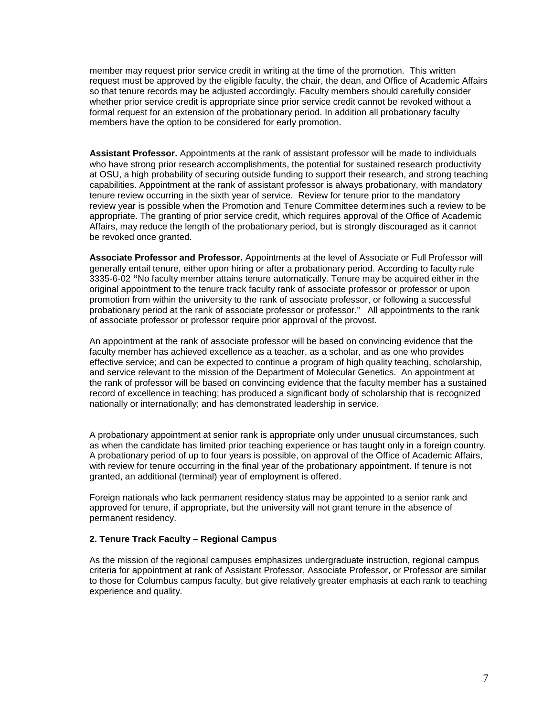member may request prior service credit in writing at the time of the promotion. This written request must be approved by the eligible faculty, the chair, the dean, and Office of Academic Affairs so that tenure records may be adjusted accordingly. Faculty members should carefully consider whether prior service credit is appropriate since prior service credit cannot be revoked without a formal request for an extension of the probationary period. In addition all probationary faculty members have the option to be considered for early promotion.

**Assistant Professor.** Appointments at the rank of assistant professor will be made to individuals who have strong prior research accomplishments, the potential for sustained research productivity at OSU, a high probability of securing outside funding to support their research, and strong teaching capabilities. Appointment at the rank of assistant professor is always probationary, with mandatory tenure review occurring in the sixth year of service. Review for tenure prior to the mandatory review year is possible when the Promotion and Tenure Committee determines such a review to be appropriate. The granting of prior service credit, which requires approval of the Office of Academic Affairs, may reduce the length of the probationary period, but is strongly discouraged as it cannot be revoked once granted.

**Associate Professor and Professor.** Appointments at the level of Associate or Full Professor will generally entail tenure, either upon hiring or after a probationary period. According to faculty rule 3335-6-02 **"**No faculty member attains tenure automatically. Tenure may be acquired either in the original appointment to the tenure track faculty rank of associate professor or professor or upon promotion from within the university to the rank of associate professor, or following a successful probationary period at the rank of associate professor or professor." All appointments to the rank of associate professor or professor require prior approval of the provost.

An appointment at the rank of associate professor will be based on convincing evidence that the faculty member has achieved excellence as a teacher, as a scholar, and as one who provides effective service; and can be expected to continue a program of high quality teaching, scholarship, and service relevant to the mission of the Department of Molecular Genetics. An appointment at the rank of professor will be based on convincing evidence that the faculty member has a sustained record of excellence in teaching; has produced a significant body of scholarship that is recognized nationally or internationally; and has demonstrated leadership in service.

A probationary appointment at senior rank is appropriate only under unusual circumstances, such as when the candidate has limited prior teaching experience or has taught only in a foreign country. A probationary period of up to four years is possible, on approval of the Office of Academic Affairs, with review for tenure occurring in the final year of the probationary appointment. If tenure is not granted, an additional (terminal) year of employment is offered.

Foreign nationals who lack permanent residency status may be appointed to a senior rank and approved for tenure, if appropriate, but the university will not grant tenure in the absence of permanent residency.

#### **2. Tenure Track Faculty – Regional Campus**

As the mission of the regional campuses emphasizes undergraduate instruction, regional campus criteria for appointment at rank of Assistant Professor, Associate Professor, or Professor are similar to those for Columbus campus faculty, but give relatively greater emphasis at each rank to teaching experience and quality.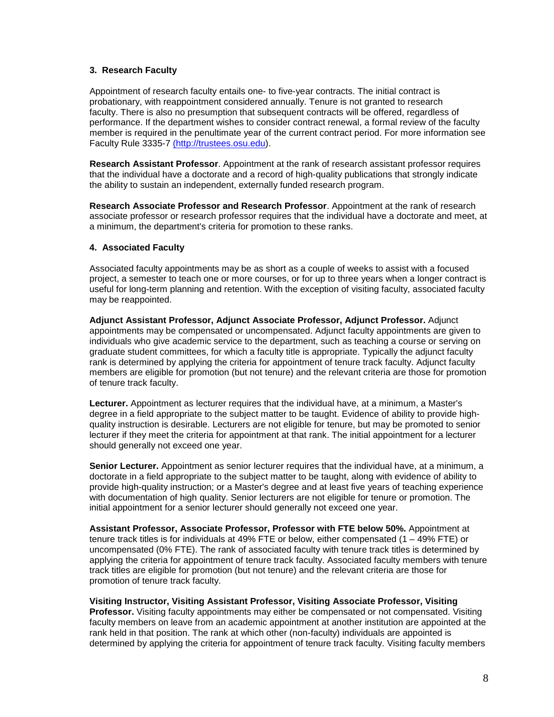### **3. Research Faculty**

Appointment of research faculty entails one- to five-year contracts. The initial contract is probationary, with reappointment considered annually. Tenure is not granted to research faculty. There is also no presumption that subsequent contracts will be offered, regardless of performance. If the department wishes to consider contract renewal, a formal review of the faculty member is required in the penultimate year of the current contract period. For more information see Faculty Rule 3335-7 [\(http://trustees.osu.edu\)](file:///C:%5CUsers%5Cnelson.19%5CAppData%5CLocal%5CMicrosoft%5CWindows%5CINetCache%5Cnelson.19%5CAppData%5CLocal%5CMicrosoft%5CWindows%5CINetCache%5CContent.Outlook%5CAppData%5CLocal%5CMicrosoft%5CWindows%5CTemporary%20Internet%20Files%5Cbriggs.cormier%5CAppData%5CLocal%5CMicrosoft%5CWindows%5CTemporary%20Internet%20Files%5CContent.Outlook%5C2011%20OAA%20Handbook%5C(http:%5Ctrustees.osu.edu%5Crules%5Cuniversity-rules.html).

**Research Assistant Professor**. Appointment at the rank of research assistant professor requires that the individual have a doctorate and a record of high-quality publications that strongly indicate the ability to sustain an independent, externally funded research program.

**Research Associate Professor and Research Professor**. Appointment at the rank of research associate professor or research professor requires that the individual have a doctorate and meet, at a minimum, the department's criteria for promotion to these ranks.

#### **4. Associated Faculty**

Associated faculty appointments may be as short as a couple of weeks to assist with a focused project, a semester to teach one or more courses, or for up to three years when a longer contract is useful for long-term planning and retention. With the exception of visiting faculty, associated faculty may be reappointed.

**Adjunct Assistant Professor, Adjunct Associate Professor, Adjunct Professor.** Adjunct appointments may be compensated or uncompensated. Adjunct faculty appointments are given to individuals who give academic service to the department, such as teaching a course or serving on graduate student committees, for which a faculty title is appropriate. Typically the adjunct faculty rank is determined by applying the criteria for appointment of tenure track faculty. Adjunct faculty members are eligible for promotion (but not tenure) and the relevant criteria are those for promotion of tenure track faculty.

**Lecturer.** Appointment as lecturer requires that the individual have, at a minimum, a Master's degree in a field appropriate to the subject matter to be taught. Evidence of ability to provide highquality instruction is desirable. Lecturers are not eligible for tenure, but may be promoted to senior lecturer if they meet the criteria for appointment at that rank. The initial appointment for a lecturer should generally not exceed one year.

**Senior Lecturer.** Appointment as senior lecturer requires that the individual have, at a minimum, a doctorate in a field appropriate to the subject matter to be taught, along with evidence of ability to provide high-quality instruction; or a Master's degree and at least five years of teaching experience with documentation of high quality. Senior lecturers are not eligible for tenure or promotion. The initial appointment for a senior lecturer should generally not exceed one year.

**Assistant Professor, Associate Professor, Professor with FTE below 50%.** Appointment at tenure track titles is for individuals at 49% FTE or below, either compensated (1 – 49% FTE) or uncompensated (0% FTE). The rank of associated faculty with tenure track titles is determined by applying the criteria for appointment of tenure track faculty. Associated faculty members with tenure track titles are eligible for promotion (but not tenure) and the relevant criteria are those for promotion of tenure track faculty.

**Visiting Instructor, Visiting Assistant Professor, Visiting Associate Professor, Visiting Professor.** Visiting faculty appointments may either be compensated or not compensated. Visiting faculty members on leave from an academic appointment at another institution are appointed at the rank held in that position. The rank at which other (non-faculty) individuals are appointed is determined by applying the criteria for appointment of tenure track faculty. Visiting faculty members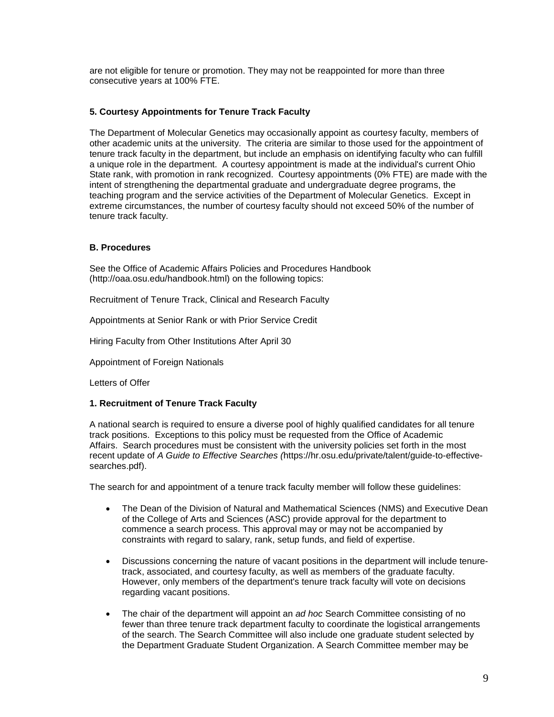are not eligible for tenure or promotion. They may not be reappointed for more than three consecutive years at 100% FTE.

### **5. Courtesy Appointments for Tenure Track Faculty**

The Department of Molecular Genetics may occasionally appoint as courtesy faculty, members of other academic units at the university. The criteria are similar to those used for the appointment of tenure track faculty in the department, but include an emphasis on identifying faculty who can fulfill a unique role in the department. A courtesy appointment is made at the individual's current Ohio State rank, with promotion in rank recognized. Courtesy appointments (0% FTE) are made with the intent of strengthening the departmental graduate and undergraduate degree programs, the teaching program and the service activities of the Department of Molecular Genetics. Except in extreme circumstances, the number of courtesy faculty should not exceed 50% of the number of tenure track faculty.

### **B. Procedures**

See the Office of Academic Affairs Policies and Procedures Handbook (http://oaa.osu.edu/handbook.html) on the following topics:

Recruitment of Tenure Track, Clinical and Research Faculty

Appointments at Senior Rank or with Prior Service Credit

Hiring Faculty from Other Institutions After April 30

Appointment of Foreign Nationals

Letters of Offer

### **1. Recruitment of Tenure Track Faculty**

A national search is required to ensure a diverse pool of highly qualified candidates for all tenure track positions. Exceptions to this policy must be requested from the Office of Academic Affairs. Search procedures must be consistent with the university policies set forth in the most recent update of *A Guide to Effective Searches (*https://hr.osu.edu/private/talent/guide-to-effectivesearches.pdf).

The search for and appointment of a tenure track faculty member will follow these guidelines:

- The Dean of the Division of Natural and Mathematical Sciences (NMS) and Executive Dean of the College of Arts and Sciences (ASC) provide approval for the department to commence a search process. This approval may or may not be accompanied by constraints with regard to salary, rank, setup funds, and field of expertise.
- Discussions concerning the nature of vacant positions in the department will include tenuretrack, associated, and courtesy faculty, as well as members of the graduate faculty. However, only members of the department's tenure track faculty will vote on decisions regarding vacant positions.
- The chair of the department will appoint an *ad hoc* Search Committee consisting of no fewer than three tenure track department faculty to coordinate the logistical arrangements of the search. The Search Committee will also include one graduate student selected by the Department Graduate Student Organization. A Search Committee member may be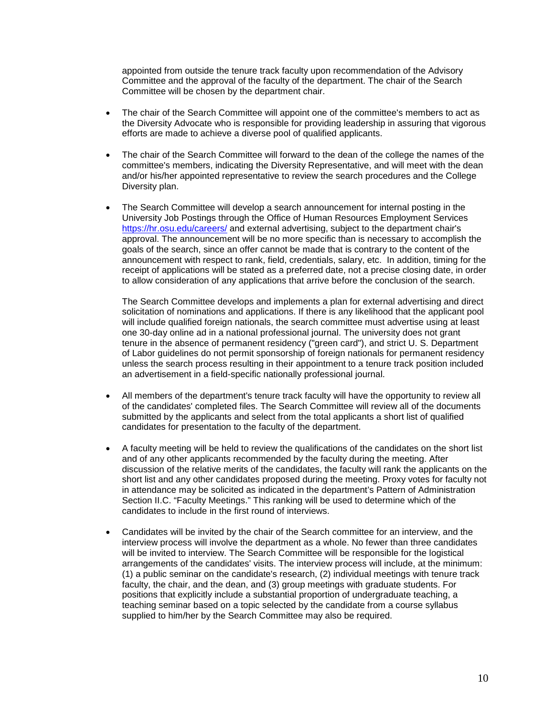appointed from outside the tenure track faculty upon recommendation of the Advisory Committee and the approval of the faculty of the department. The chair of the Search Committee will be chosen by the department chair.

- The chair of the Search Committee will appoint one of the committee's members to act as the Diversity Advocate who is responsible for providing leadership in assuring that vigorous efforts are made to achieve a diverse pool of qualified applicants.
- The chair of the Search Committee will forward to the dean of the college the names of the committee's members, indicating the Diversity Representative, and will meet with the dean and/or his/her appointed representative to review the search procedures and the College Diversity plan.
- The Search Committee will develop a search announcement for internal posting in the University Job Postings through the Office of Human Resources Employment Services <https://hr.osu.edu/careers/> and external advertising, subject to the department chair's approval. The announcement will be no more specific than is necessary to accomplish the goals of the search, since an offer cannot be made that is contrary to the content of the announcement with respect to rank, field, credentials, salary, etc. In addition, timing for the receipt of applications will be stated as a preferred date, not a precise closing date, in order to allow consideration of any applications that arrive before the conclusion of the search.

The Search Committee develops and implements a plan for external advertising and direct solicitation of nominations and applications. If there is any likelihood that the applicant pool will include qualified foreign nationals, the search committee must advertise using at least one 30-day online ad in a national professional journal. The university does not grant tenure in the absence of permanent residency ("green card"), and strict U. S. Department of Labor guidelines do not permit sponsorship of foreign nationals for permanent residency unless the search process resulting in their appointment to a tenure track position included an advertisement in a field-specific nationally professional journal.

- All members of the department's tenure track faculty will have the opportunity to review all of the candidates' completed files. The Search Committee will review all of the documents submitted by the applicants and select from the total applicants a short list of qualified candidates for presentation to the faculty of the department.
- A faculty meeting will be held to review the qualifications of the candidates on the short list and of any other applicants recommended by the faculty during the meeting. After discussion of the relative merits of the candidates, the faculty will rank the applicants on the short list and any other candidates proposed during the meeting. Proxy votes for faculty not in attendance may be solicited as indicated in the department's Pattern of Administration Section II.C. "Faculty Meetings." This ranking will be used to determine which of the candidates to include in the first round of interviews.
- Candidates will be invited by the chair of the Search committee for an interview, and the interview process will involve the department as a whole. No fewer than three candidates will be invited to interview. The Search Committee will be responsible for the logistical arrangements of the candidates' visits. The interview process will include, at the minimum: (1) a public seminar on the candidate's research, (2) individual meetings with tenure track faculty, the chair, and the dean, and (3) group meetings with graduate students. For positions that explicitly include a substantial proportion of undergraduate teaching, a teaching seminar based on a topic selected by the candidate from a course syllabus supplied to him/her by the Search Committee may also be required.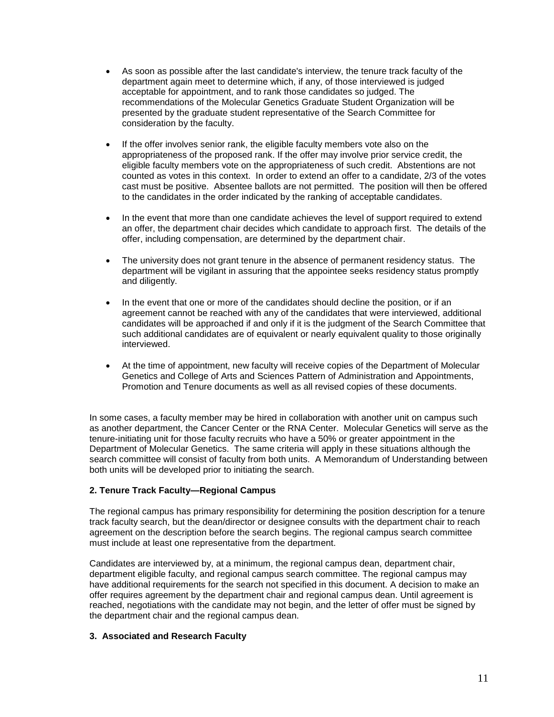- As soon as possible after the last candidate's interview, the tenure track faculty of the department again meet to determine which, if any, of those interviewed is judged acceptable for appointment, and to rank those candidates so judged. The recommendations of the Molecular Genetics Graduate Student Organization will be presented by the graduate student representative of the Search Committee for consideration by the faculty.
- If the offer involves senior rank, the eligible faculty members vote also on the appropriateness of the proposed rank. If the offer may involve prior service credit, the eligible faculty members vote on the appropriateness of such credit. Abstentions are not counted as votes in this context. In order to extend an offer to a candidate, 2/3 of the votes cast must be positive. Absentee ballots are not permitted. The position will then be offered to the candidates in the order indicated by the ranking of acceptable candidates.
- In the event that more than one candidate achieves the level of support required to extend an offer, the department chair decides which candidate to approach first. The details of the offer, including compensation, are determined by the department chair.
- The university does not grant tenure in the absence of permanent residency status. The department will be vigilant in assuring that the appointee seeks residency status promptly and diligently.
- In the event that one or more of the candidates should decline the position, or if an agreement cannot be reached with any of the candidates that were interviewed, additional candidates will be approached if and only if it is the judgment of the Search Committee that such additional candidates are of equivalent or nearly equivalent quality to those originally interviewed.
- At the time of appointment, new faculty will receive copies of the Department of Molecular Genetics and College of Arts and Sciences Pattern of Administration and Appointments, Promotion and Tenure documents as well as all revised copies of these documents.

In some cases, a faculty member may be hired in collaboration with another unit on campus such as another department, the Cancer Center or the RNA Center. Molecular Genetics will serve as the tenure-initiating unit for those faculty recruits who have a 50% or greater appointment in the Department of Molecular Genetics. The same criteria will apply in these situations although the search committee will consist of faculty from both units. A Memorandum of Understanding between both units will be developed prior to initiating the search.

### **2. Tenure Track Faculty—Regional Campus**

The regional campus has primary responsibility for determining the position description for a tenure track faculty search, but the dean/director or designee consults with the department chair to reach agreement on the description before the search begins. The regional campus search committee must include at least one representative from the department.

Candidates are interviewed by, at a minimum, the regional campus dean, department chair, department eligible faculty, and regional campus search committee. The regional campus may have additional requirements for the search not specified in this document. A decision to make an offer requires agreement by the department chair and regional campus dean. Until agreement is reached, negotiations with the candidate may not begin, and the letter of offer must be signed by the department chair and the regional campus dean.

#### **3. Associated and Research Faculty**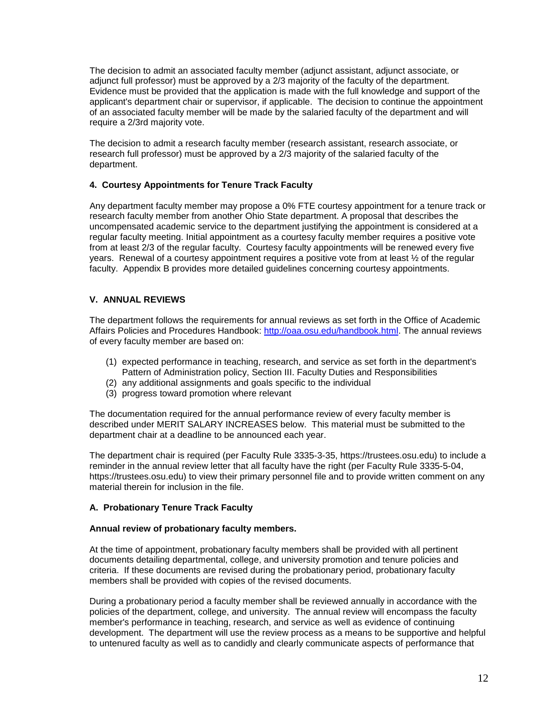The decision to admit an associated faculty member (adjunct assistant, adjunct associate, or adjunct full professor) must be approved by a 2/3 majority of the faculty of the department. Evidence must be provided that the application is made with the full knowledge and support of the applicant's department chair or supervisor, if applicable. The decision to continue the appointment of an associated faculty member will be made by the salaried faculty of the department and will require a 2/3rd majority vote.

The decision to admit a research faculty member (research assistant, research associate, or research full professor) must be approved by a 2/3 majority of the salaried faculty of the department.

### **4. Courtesy Appointments for Tenure Track Faculty**

Any department faculty member may propose a 0% FTE courtesy appointment for a tenure track or research faculty member from another Ohio State department. A proposal that describes the uncompensated academic service to the department justifying the appointment is considered at a regular faculty meeting. Initial appointment as a courtesy faculty member requires a positive vote from at least 2/3 of the regular faculty. Courtesy faculty appointments will be renewed every five years. Renewal of a courtesy appointment requires a positive vote from at least ½ of the regular faculty. Appendix B provides more detailed guidelines concerning courtesy appointments.

### **V. ANNUAL REVIEWS**

The department follows the requirements for annual reviews as set forth in the Office of Academic Affairs Policies and Procedures Handbook: [http://oaa.osu.edu/handbook.html.](http://oaa.osu.edu/handbook.html) The annual reviews of every faculty member are based on:

- (1) expected performance in teaching, research, and service as set forth in the department's Pattern of Administration policy, Section III. Faculty Duties and Responsibilities
- (2) any additional assignments and goals specific to the individual
- (3) progress toward promotion where relevant

The documentation required for the annual performance review of every faculty member is described under MERIT SALARY INCREASES below. This material must be submitted to the department chair at a deadline to be announced each year.

The department chair is required (per Faculty Rule 3335-3-35, https://trustees.osu.edu) to include a reminder in the annual review letter that all faculty have the right (per Faculty Rule 3335-5-04, https://trustees.osu.edu) to view their primary personnel file and to provide written comment on any material therein for inclusion in the file.

### **A. Probationary Tenure Track Faculty**

### **Annual review of probationary faculty members.**

At the time of appointment, probationary faculty members shall be provided with all pertinent documents detailing departmental, college, and university promotion and tenure policies and criteria. If these documents are revised during the probationary period, probationary faculty members shall be provided with copies of the revised documents.

During a probationary period a faculty member shall be reviewed annually in accordance with the policies of the department, college, and university. The annual review will encompass the faculty member's performance in teaching, research, and service as well as evidence of continuing development. The department will use the review process as a means to be supportive and helpful to untenured faculty as well as to candidly and clearly communicate aspects of performance that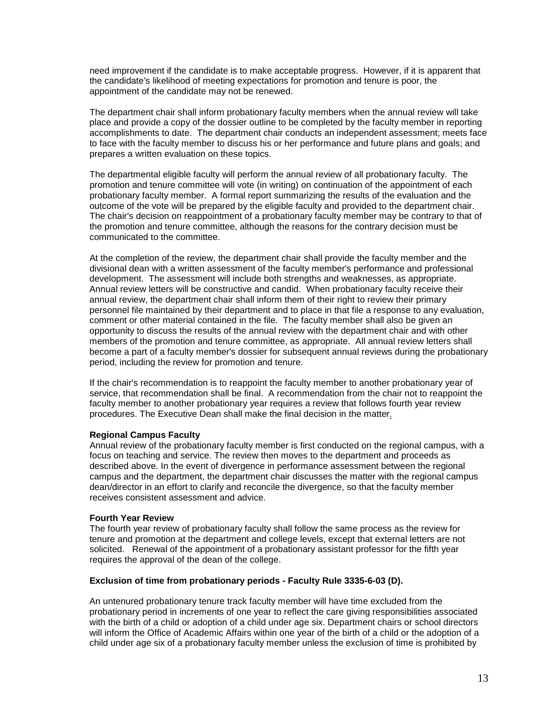need improvement if the candidate is to make acceptable progress. However, if it is apparent that the candidate's likelihood of meeting expectations for promotion and tenure is poor, the appointment of the candidate may not be renewed.

The department chair shall inform probationary faculty members when the annual review will take place and provide a copy of the dossier outline to be completed by the faculty member in reporting accomplishments to date. The department chair conducts an independent assessment; meets face to face with the faculty member to discuss his or her performance and future plans and goals; and prepares a written evaluation on these topics.

The departmental eligible faculty will perform the annual review of all probationary faculty. The promotion and tenure committee will vote (in writing) on continuation of the appointment of each probationary faculty member. A formal report summarizing the results of the evaluation and the outcome of the vote will be prepared by the eligible faculty and provided to the department chair. The chair's decision on reappointment of a probationary faculty member may be contrary to that of the promotion and tenure committee, although the reasons for the contrary decision must be communicated to the committee.

At the completion of the review, the department chair shall provide the faculty member and the divisional dean with a written assessment of the faculty member's performance and professional development. The assessment will include both strengths and weaknesses, as appropriate. Annual review letters will be constructive and candid. When probationary faculty receive their annual review, the department chair shall inform them of their right to review their primary personnel file maintained by their department and to place in that file a response to any evaluation, comment or other material contained in the file. The faculty member shall also be given an opportunity to discuss the results of the annual review with the department chair and with other members of the promotion and tenure committee, as appropriate. All annual review letters shall become a part of a faculty member's dossier for subsequent annual reviews during the probationary period, including the review for promotion and tenure.

If the chair's recommendation is to reappoint the faculty member to another probationary year of service, that recommendation shall be final. A recommendation from the chair not to reappoint the faculty member to another probationary year requires a review that follows fourth year review procedures. The Executive Dean shall make the final decision in the matter.

#### **Regional Campus Faculty**

Annual review of the probationary faculty member is first conducted on the regional campus, with a focus on teaching and service. The review then moves to the department and proceeds as described above. In the event of divergence in performance assessment between the regional campus and the department, the department chair discusses the matter with the regional campus dean/director in an effort to clarify and reconcile the divergence, so that the faculty member receives consistent assessment and advice.

#### **Fourth Year Review**

The fourth year review of probationary faculty shall follow the same process as the review for tenure and promotion at the department and college levels, except that external letters are not solicited. Renewal of the appointment of a probationary assistant professor for the fifth year requires the approval of the dean of the college.

### **Exclusion of time from probationary periods - Faculty Rule 3335-6-03 (D).**

An untenured probationary tenure track faculty member will have time excluded from the probationary period in increments of one year to reflect the care giving responsibilities associated with the birth of a child or adoption of a child under age six. Department chairs or school directors will inform the Office of Academic Affairs within one year of the birth of a child or the adoption of a child under age six of a probationary faculty member unless the exclusion of time is prohibited by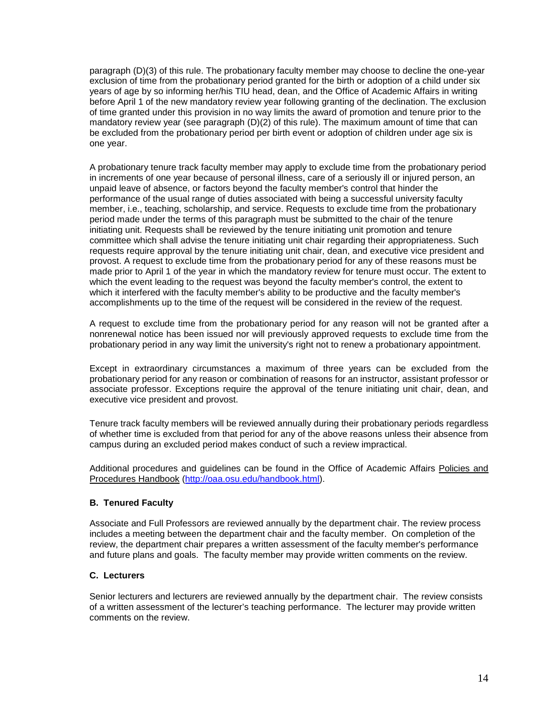paragraph (D)(3) of this rule. The probationary faculty member may choose to decline the one-year exclusion of time from the probationary period granted for the birth or adoption of a child under six years of age by so informing her/his TIU head, dean, and the Office of Academic Affairs in writing before April 1 of the new mandatory review year following granting of the declination. The exclusion of time granted under this provision in no way limits the award of promotion and tenure prior to the mandatory review year (see paragraph (D)(2) of this rule). The maximum amount of time that can be excluded from the probationary period per birth event or adoption of children under age six is one year.

A probationary tenure track faculty member may apply to exclude time from the probationary period in increments of one year because of personal illness, care of a seriously ill or injured person, an unpaid leave of absence, or factors beyond the faculty member's control that hinder the performance of the usual range of duties associated with being a successful university faculty member, i.e., teaching, scholarship, and service. Requests to exclude time from the probationary period made under the terms of this paragraph must be submitted to the chair of the tenure initiating unit. Requests shall be reviewed by the tenure initiating unit promotion and tenure committee which shall advise the tenure initiating unit chair regarding their appropriateness. Such requests require approval by the tenure initiating unit chair, dean, and executive vice president and provost. A request to exclude time from the probationary period for any of these reasons must be made prior to April 1 of the year in which the mandatory review for tenure must occur. The extent to which the event leading to the request was beyond the faculty member's control, the extent to which it interfered with the faculty member's ability to be productive and the faculty member's accomplishments up to the time of the request will be considered in the review of the request.

A request to exclude time from the probationary period for any reason will not be granted after a nonrenewal notice has been issued nor will previously approved requests to exclude time from the probationary period in any way limit the university's right not to renew a probationary appointment.

Except in extraordinary circumstances a maximum of three years can be excluded from the probationary period for any reason or combination of reasons for an instructor, assistant professor or associate professor. Exceptions require the approval of the tenure initiating unit chair, dean, and executive vice president and provost.

Tenure track faculty members will be reviewed annually during their probationary periods regardless of whether time is excluded from that period for any of the above reasons unless their absence from campus during an excluded period makes conduct of such a review impractical.

Additional procedures and guidelines can be found in the Office of Academic Affairs Policies and Procedures Handbook [\(http://oaa.osu.edu/handbook.html\)](http://oaa.osu.edu/handbook.html).

### **B. Tenured Faculty**

Associate and Full Professors are reviewed annually by the department chair. The review process includes a meeting between the department chair and the faculty member. On completion of the review, the department chair prepares a written assessment of the faculty member's performance and future plans and goals. The faculty member may provide written comments on the review.

#### **C. Lecturers**

Senior lecturers and lecturers are reviewed annually by the department chair. The review consists of a written assessment of the lecturer's teaching performance. The lecturer may provide written comments on the review.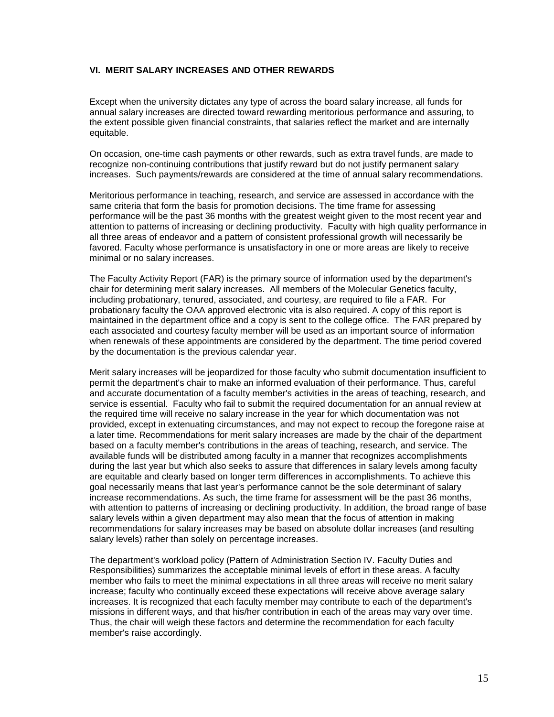### **VI. MERIT SALARY INCREASES AND OTHER REWARDS**

Except when the university dictates any type of across the board salary increase, all funds for annual salary increases are directed toward rewarding meritorious performance and assuring, to the extent possible given financial constraints, that salaries reflect the market and are internally equitable.

On occasion, one-time cash payments or other rewards, such as extra travel funds, are made to recognize non-continuing contributions that justify reward but do not justify permanent salary increases. Such payments/rewards are considered at the time of annual salary recommendations.

Meritorious performance in teaching, research, and service are assessed in accordance with the same criteria that form the basis for promotion decisions. The time frame for assessing performance will be the past 36 months with the greatest weight given to the most recent year and attention to patterns of increasing or declining productivity. Faculty with high quality performance in all three areas of endeavor and a pattern of consistent professional growth will necessarily be favored. Faculty whose performance is unsatisfactory in one or more areas are likely to receive minimal or no salary increases.

The Faculty Activity Report (FAR) is the primary source of information used by the department's chair for determining merit salary increases. All members of the Molecular Genetics faculty, including probationary, tenured, associated, and courtesy, are required to file a FAR. For probationary faculty the OAA approved electronic vita is also required. A copy of this report is maintained in the department office and a copy is sent to the college office. The FAR prepared by each associated and courtesy faculty member will be used as an important source of information when renewals of these appointments are considered by the department. The time period covered by the documentation is the previous calendar year.

Merit salary increases will be jeopardized for those faculty who submit documentation insufficient to permit the department's chair to make an informed evaluation of their performance. Thus, careful and accurate documentation of a faculty member's activities in the areas of teaching, research, and service is essential. Faculty who fail to submit the required documentation for an annual review at the required time will receive no salary increase in the year for which documentation was not provided, except in extenuating circumstances, and may not expect to recoup the foregone raise at a later time. Recommendations for merit salary increases are made by the chair of the department based on a faculty member's contributions in the areas of teaching, research, and service. The available funds will be distributed among faculty in a manner that recognizes accomplishments during the last year but which also seeks to assure that differences in salary levels among faculty are equitable and clearly based on longer term differences in accomplishments. To achieve this goal necessarily means that last year's performance cannot be the sole determinant of salary increase recommendations. As such, the time frame for assessment will be the past 36 months, with attention to patterns of increasing or declining productivity. In addition, the broad range of base salary levels within a given department may also mean that the focus of attention in making recommendations for salary increases may be based on absolute dollar increases (and resulting salary levels) rather than solely on percentage increases.

The department's workload policy (Pattern of Administration Section IV. Faculty Duties and Responsibilities) summarizes the acceptable minimal levels of effort in these areas. A faculty member who fails to meet the minimal expectations in all three areas will receive no merit salary increase; faculty who continually exceed these expectations will receive above average salary increases. It is recognized that each faculty member may contribute to each of the department's missions in different ways, and that his/her contribution in each of the areas may vary over time. Thus, the chair will weigh these factors and determine the recommendation for each faculty member's raise accordingly.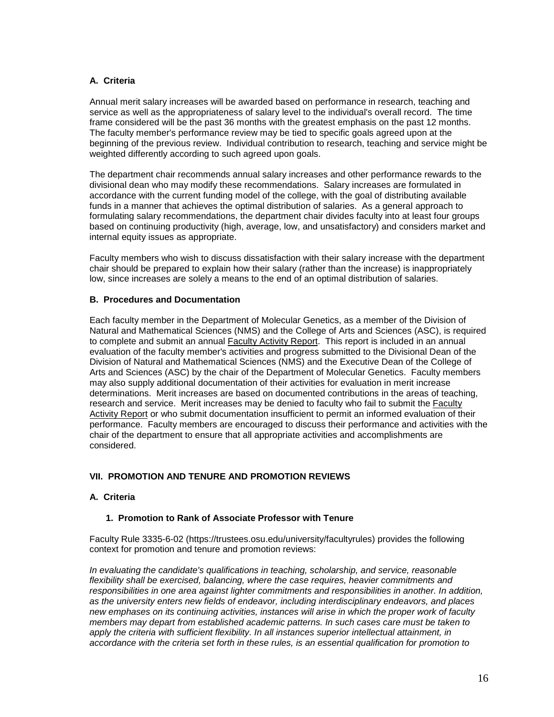### **A. Criteria**

Annual merit salary increases will be awarded based on performance in research, teaching and service as well as the appropriateness of salary level to the individual's overall record. The time frame considered will be the past 36 months with the greatest emphasis on the past 12 months. The faculty member's performance review may be tied to specific goals agreed upon at the beginning of the previous review. Individual contribution to research, teaching and service might be weighted differently according to such agreed upon goals.

The department chair recommends annual salary increases and other performance rewards to the divisional dean who may modify these recommendations. Salary increases are formulated in accordance with the current funding model of the college, with the goal of distributing available funds in a manner that achieves the optimal distribution of salaries. As a general approach to formulating salary recommendations, the department chair divides faculty into at least four groups based on continuing productivity (high, average, low, and unsatisfactory) and considers market and internal equity issues as appropriate.

Faculty members who wish to discuss dissatisfaction with their salary increase with the department chair should be prepared to explain how their salary (rather than the increase) is inappropriately low, since increases are solely a means to the end of an optimal distribution of salaries.

### **B. Procedures and Documentation**

Each faculty member in the Department of Molecular Genetics, as a member of the Division of Natural and Mathematical Sciences (NMS) and the College of Arts and Sciences (ASC), is required to complete and submit an annual Faculty Activity Report. This report is included in an annual evaluation of the faculty member's activities and progress submitted to the Divisional Dean of the Division of Natural and Mathematical Sciences (NMS) and the Executive Dean of the College of Arts and Sciences (ASC) by the chair of the Department of Molecular Genetics. Faculty members may also supply additional documentation of their activities for evaluation in merit increase determinations. Merit increases are based on documented contributions in the areas of teaching, research and service. Merit increases may be denied to faculty who fail to submit the Faculty Activity Report or who submit documentation insufficient to permit an informed evaluation of their performance. Faculty members are encouraged to discuss their performance and activities with the chair of the department to ensure that all appropriate activities and accomplishments are considered.

### **VII. PROMOTION AND TENURE AND PROMOTION REVIEWS**

### **A. Criteria**

#### **1. Promotion to Rank of Associate Professor with Tenure**

Faculty Rule 3335-6-02 (https://trustees.osu.edu/university/facultyrules) provides the following context for promotion and tenure and promotion reviews:

*In evaluating the candidate's qualifications in teaching, scholarship, and service, reasonable flexibility shall be exercised, balancing, where the case requires, heavier commitments and responsibilities in one area against lighter commitments and responsibilities in another. In addition, as the university enters new fields of endeavor, including interdisciplinary endeavors, and places new emphases on its continuing activities, instances will arise in which the proper work of faculty members may depart from established academic patterns. In such cases care must be taken to apply the criteria with sufficient flexibility. In all instances superior intellectual attainment, in accordance with the criteria set forth in these rules, is an essential qualification for promotion to*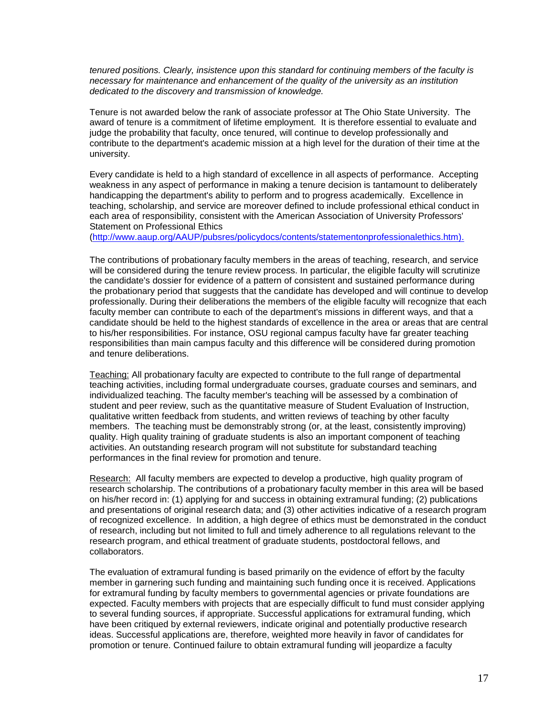*tenured positions. Clearly, insistence upon this standard for continuing members of the faculty is necessary for maintenance and enhancement of the quality of the university as an institution dedicated to the discovery and transmission of knowledge.*

Tenure is not awarded below the rank of associate professor at The Ohio State University. The award of tenure is a commitment of lifetime employment. It is therefore essential to evaluate and judge the probability that faculty, once tenured, will continue to develop professionally and contribute to the department's academic mission at a high level for the duration of their time at the university.

Every candidate is held to a high standard of excellence in all aspects of performance. Accepting weakness in any aspect of performance in making a tenure decision is tantamount to deliberately handicapping the department's ability to perform and to progress academically. Excellence in teaching, scholarship, and service are moreover defined to include professional ethical conduct in each area of responsibility, consistent with the American Association of University Professors' Statement on Professional Ethics

[\(http://www.aaup.org/AAUP/pubsres/policydocs/contents/statementonprofessionalethics.htm\)](http://www.aaup.org/AAUP/pubsres/policydocs/contents/statementonprofessionalethics.htm).

The contributions of probationary faculty members in the areas of teaching, research, and service will be considered during the tenure review process. In particular, the eligible faculty will scrutinize the candidate's dossier for evidence of a pattern of consistent and sustained performance during the probationary period that suggests that the candidate has developed and will continue to develop professionally. During their deliberations the members of the eligible faculty will recognize that each faculty member can contribute to each of the department's missions in different ways, and that a candidate should be held to the highest standards of excellence in the area or areas that are central to his/her responsibilities. For instance, OSU regional campus faculty have far greater teaching responsibilities than main campus faculty and this difference will be considered during promotion and tenure deliberations.

Teaching: All probationary faculty are expected to contribute to the full range of departmental teaching activities, including formal undergraduate courses, graduate courses and seminars, and individualized teaching. The faculty member's teaching will be assessed by a combination of student and peer review, such as the quantitative measure of Student Evaluation of Instruction, qualitative written feedback from students, and written reviews of teaching by other faculty members. The teaching must be demonstrably strong (or, at the least, consistently improving) quality. High quality training of graduate students is also an important component of teaching activities. An outstanding research program will not substitute for substandard teaching performances in the final review for promotion and tenure.

Research: All faculty members are expected to develop a productive, high quality program of research scholarship. The contributions of a probationary faculty member in this area will be based on his/her record in: (1) applying for and success in obtaining extramural funding; (2) publications and presentations of original research data; and (3) other activities indicative of a research program of recognized excellence. In addition, a high degree of ethics must be demonstrated in the conduct of research, including but not limited to full and timely adherence to all regulations relevant to the research program, and ethical treatment of graduate students, postdoctoral fellows, and collaborators.

The evaluation of extramural funding is based primarily on the evidence of effort by the faculty member in garnering such funding and maintaining such funding once it is received. Applications for extramural funding by faculty members to governmental agencies or private foundations are expected. Faculty members with projects that are especially difficult to fund must consider applying to several funding sources, if appropriate. Successful applications for extramural funding, which have been critiqued by external reviewers, indicate original and potentially productive research ideas. Successful applications are, therefore, weighted more heavily in favor of candidates for promotion or tenure. Continued failure to obtain extramural funding will jeopardize a faculty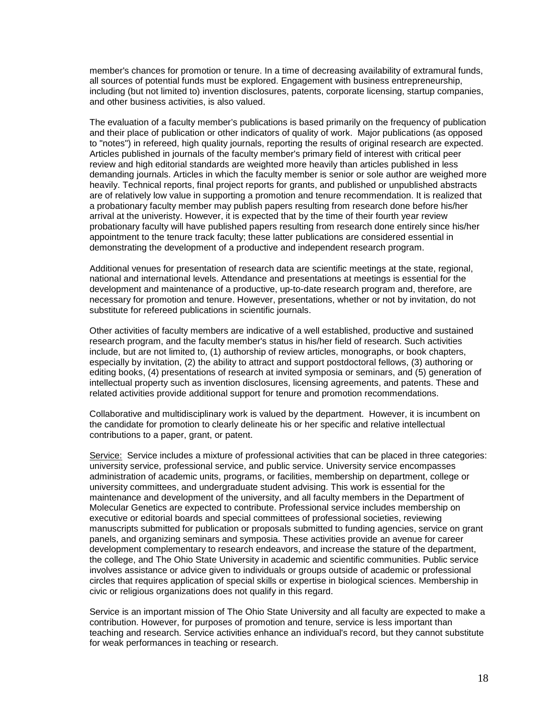member's chances for promotion or tenure. In a time of decreasing availability of extramural funds, all sources of potential funds must be explored. Engagement with business entrepreneurship, including (but not limited to) invention disclosures, patents, corporate licensing, startup companies, and other business activities, is also valued.

The evaluation of a faculty member's publications is based primarily on the frequency of publication and their place of publication or other indicators of quality of work. Major publications (as opposed to "notes") in refereed, high quality journals, reporting the results of original research are expected. Articles published in journals of the faculty member's primary field of interest with critical peer review and high editorial standards are weighted more heavily than articles published in less demanding journals. Articles in which the faculty member is senior or sole author are weighed more heavily. Technical reports, final project reports for grants, and published or unpublished abstracts are of relatively low value in supporting a promotion and tenure recommendation. It is realized that a probationary faculty member may publish papers resulting from research done before his/her arrival at the univeristy. However, it is expected that by the time of their fourth year review probationary faculty will have published papers resulting from research done entirely since his/her appointment to the tenure track faculty; these latter publications are considered essential in demonstrating the development of a productive and independent research program.

Additional venues for presentation of research data are scientific meetings at the state, regional, national and international levels. Attendance and presentations at meetings is essential for the development and maintenance of a productive, up-to-date research program and, therefore, are necessary for promotion and tenure. However, presentations, whether or not by invitation, do not substitute for refereed publications in scientific journals.

Other activities of faculty members are indicative of a well established, productive and sustained research program, and the faculty member's status in his/her field of research. Such activities include, but are not limited to, (1) authorship of review articles, monographs, or book chapters, especially by invitation, (2) the ability to attract and support postdoctoral fellows, (3) authoring or editing books, (4) presentations of research at invited symposia or seminars, and (5) generation of intellectual property such as invention disclosures, licensing agreements, and patents. These and related activities provide additional support for tenure and promotion recommendations.

Collaborative and multidisciplinary work is valued by the department. However, it is incumbent on the candidate for promotion to clearly delineate his or her specific and relative intellectual contributions to a paper, grant, or patent.

Service: Service includes a mixture of professional activities that can be placed in three categories: university service, professional service, and public service. University service encompasses administration of academic units, programs, or facilities, membership on department, college or university committees, and undergraduate student advising. This work is essential for the maintenance and development of the university, and all faculty members in the Department of Molecular Genetics are expected to contribute. Professional service includes membership on executive or editorial boards and special committees of professional societies, reviewing manuscripts submitted for publication or proposals submitted to funding agencies, service on grant panels, and organizing seminars and symposia. These activities provide an avenue for career development complementary to research endeavors, and increase the stature of the department, the college, and The Ohio State University in academic and scientific communities. Public service involves assistance or advice given to individuals or groups outside of academic or professional circles that requires application of special skills or expertise in biological sciences. Membership in civic or religious organizations does not qualify in this regard.

Service is an important mission of The Ohio State University and all faculty are expected to make a contribution. However, for purposes of promotion and tenure, service is less important than teaching and research. Service activities enhance an individual's record, but they cannot substitute for weak performances in teaching or research.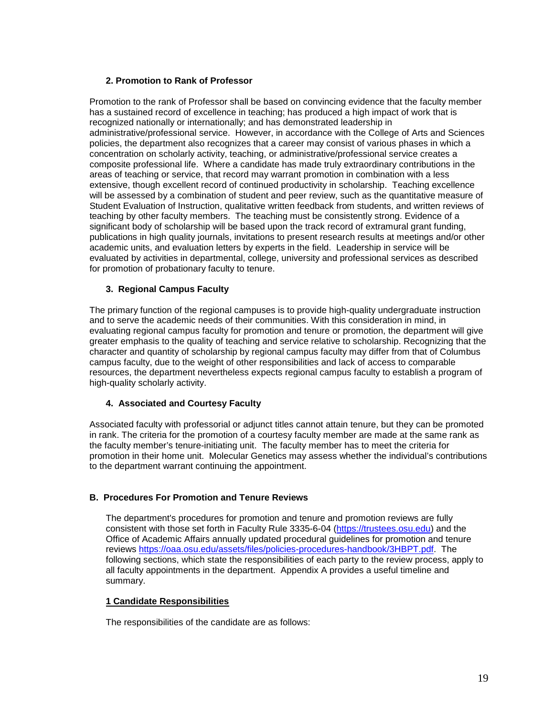### **2. Promotion to Rank of Professor**

Promotion to the rank of Professor shall be based on convincing evidence that the faculty member has a sustained record of excellence in teaching; has produced a high impact of work that is recognized nationally or internationally; and has demonstrated leadership in administrative/professional service. However, in accordance with the College of Arts and Sciences policies, the department also recognizes that a career may consist of various phases in which a concentration on scholarly activity, teaching, or administrative/professional service creates a composite professional life. Where a candidate has made truly extraordinary contributions in the areas of teaching or service, that record may warrant promotion in combination with a less extensive, though excellent record of continued productivity in scholarship. Teaching excellence will be assessed by a combination of student and peer review, such as the quantitative measure of Student Evaluation of Instruction, qualitative written feedback from students, and written reviews of teaching by other faculty members. The teaching must be consistently strong. Evidence of a significant body of scholarship will be based upon the track record of extramural grant funding, publications in high quality journals, invitations to present research results at meetings and/or other academic units, and evaluation letters by experts in the field. Leadership in service will be evaluated by activities in departmental, college, university and professional services as described for promotion of probationary faculty to tenure.

### **3. Regional Campus Faculty**

The primary function of the regional campuses is to provide high-quality undergraduate instruction and to serve the academic needs of their communities. With this consideration in mind, in evaluating regional campus faculty for promotion and tenure or promotion, the department will give greater emphasis to the quality of teaching and service relative to scholarship. Recognizing that the character and quantity of scholarship by regional campus faculty may differ from that of Columbus campus faculty, due to the weight of other responsibilities and lack of access to comparable resources, the department nevertheless expects regional campus faculty to establish a program of high-quality scholarly activity.

### **4. Associated and Courtesy Faculty**

Associated faculty with professorial or adjunct titles cannot attain tenure, but they can be promoted in rank. The criteria for the promotion of a courtesy faculty member are made at the same rank as the faculty member's tenure-initiating unit. The faculty member has to meet the criteria for promotion in their home unit. Molecular Genetics may assess whether the individual's contributions to the department warrant continuing the appointment.

### **B. Procedures For Promotion and Tenure Reviews**

The department's procedures for promotion and tenure and promotion reviews are fully consistent with those set forth in Faculty Rule 3335-6-04 [\(https://trustees.osu.edu\)](https://trustees.osu.edu/) and the Office of Academic Affairs annually updated procedural guidelines for promotion and tenure reviews [https://oaa.osu.edu/assets/files/policies-procedures-handbook/3HBPT.pdf.](https://oaa.osu.edu/assets/files/policies-procedures-handbook/3HBPT.pdf) The following sections, which state the responsibilities of each party to the review process, apply to all faculty appointments in the department. Appendix A provides a useful timeline and summary.

### **1 Candidate Responsibilities**

The responsibilities of the candidate are as follows: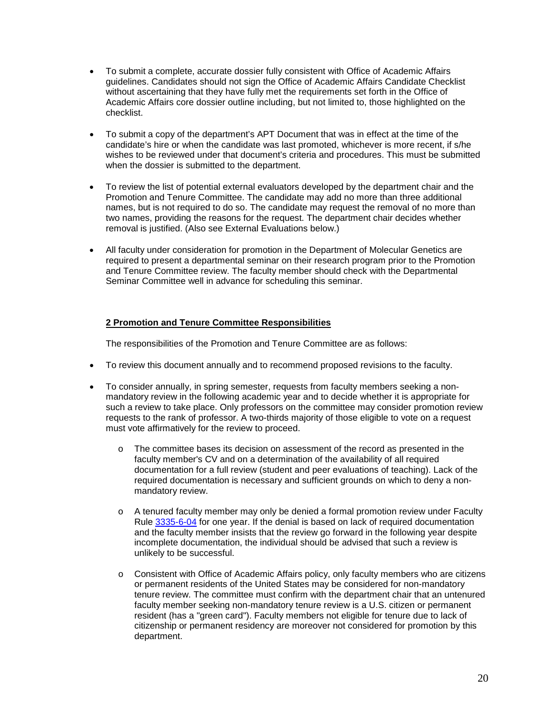- To submit a complete, accurate dossier fully consistent with Office of Academic Affairs guidelines. Candidates should not sign the Office of Academic Affairs Candidate Checklist without ascertaining that they have fully met the requirements set forth in the Office of Academic Affairs core dossier outline including, but not limited to, those highlighted on the checklist.
- To submit a copy of the department's APT Document that was in effect at the time of the candidate's hire or when the candidate was last promoted, whichever is more recent, if s/he wishes to be reviewed under that document's criteria and procedures. This must be submitted when the dossier is submitted to the department.
- To review the list of potential external evaluators developed by the department chair and the Promotion and Tenure Committee. The candidate may add no more than three additional names, but is not required to do so. The candidate may request the removal of no more than two names, providing the reasons for the request. The department chair decides whether removal is justified. (Also see External Evaluations below.)
- All faculty under consideration for promotion in the Department of Molecular Genetics are required to present a departmental seminar on their research program prior to the Promotion and Tenure Committee review. The faculty member should check with the Departmental Seminar Committee well in advance for scheduling this seminar.

### **2 Promotion and Tenure Committee Responsibilities**

The responsibilities of the Promotion and Tenure Committee are as follows:

- To review this document annually and to recommend proposed revisions to the faculty.
- To consider annually, in spring semester, requests from faculty members seeking a nonmandatory review in the following academic year and to decide whether it is appropriate for such a review to take place. Only professors on the committee may consider promotion review requests to the rank of professor. A two-thirds majority of those eligible to vote on a request must vote affirmatively for the review to proceed.
	- o The committee bases its decision on assessment of the record as presented in the faculty member's CV and on a determination of the availability of all required documentation for a full review (student and peer evaluations of teaching). Lack of the required documentation is necessary and sufficient grounds on which to deny a nonmandatory review.
	- $\circ$  A tenured faculty member may only be denied a formal promotion review under Faculty Rule [3335-6-04](https://trustees.osu.edu/rules/university-rules/chapter-3335-6-rules-of-the-university-faculty-concerning-faculty-appointments-reappointments-promotion-and-tenure.html) for one year. If the denial is based on lack of required documentation and the faculty member insists that the review go forward in the following year despite incomplete documentation, the individual should be advised that such a review is unlikely to be successful.
	- o Consistent with Office of Academic Affairs policy, only faculty members who are citizens or permanent residents of the United States may be considered for non-mandatory tenure review. The committee must confirm with the department chair that an untenured faculty member seeking non-mandatory tenure review is a U.S. citizen or permanent resident (has a "green card"). Faculty members not eligible for tenure due to lack of citizenship or permanent residency are moreover not considered for promotion by this department.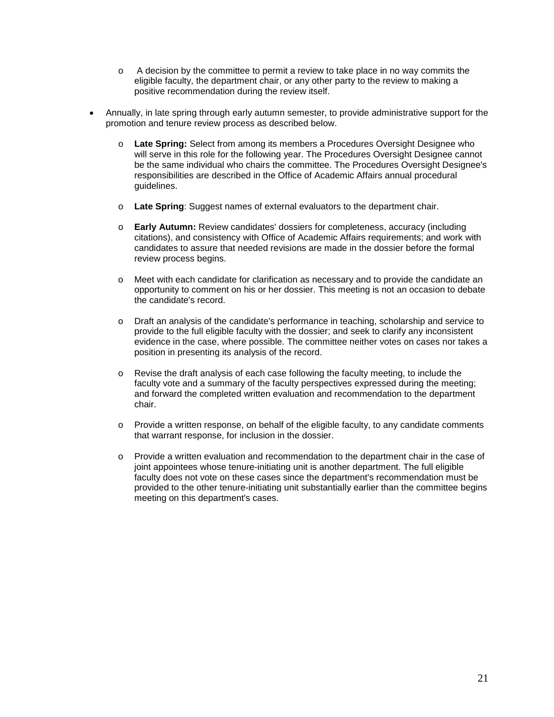- o A decision by the committee to permit a review to take place in no way commits the eligible faculty, the department chair, or any other party to the review to making a positive recommendation during the review itself.
- Annually, in late spring through early autumn semester, to provide administrative support for the promotion and tenure review process as described below.
	- o **Late Spring:** Select from among its members a Procedures Oversight Designee who will serve in this role for the following year. The Procedures Oversight Designee cannot be the same individual who chairs the committee. The Procedures Oversight Designee's responsibilities are described in the Office of Academic Affairs annual procedural guidelines.
	- o **Late Spring**: Suggest names of external evaluators to the department chair.
	- o **Early Autumn:** Review candidates' dossiers for completeness, accuracy (including citations), and consistency with Office of Academic Affairs requirements; and work with candidates to assure that needed revisions are made in the dossier before the formal review process begins.
	- o Meet with each candidate for clarification as necessary and to provide the candidate an opportunity to comment on his or her dossier. This meeting is not an occasion to debate the candidate's record.
	- o Draft an analysis of the candidate's performance in teaching, scholarship and service to provide to the full eligible faculty with the dossier; and seek to clarify any inconsistent evidence in the case, where possible. The committee neither votes on cases nor takes a position in presenting its analysis of the record.
	- o Revise the draft analysis of each case following the faculty meeting, to include the faculty vote and a summary of the faculty perspectives expressed during the meeting; and forward the completed written evaluation and recommendation to the department chair.
	- o Provide a written response, on behalf of the eligible faculty, to any candidate comments that warrant response, for inclusion in the dossier.
	- o Provide a written evaluation and recommendation to the department chair in the case of joint appointees whose tenure-initiating unit is another department. The full eligible faculty does not vote on these cases since the department's recommendation must be provided to the other tenure-initiating unit substantially earlier than the committee begins meeting on this department's cases.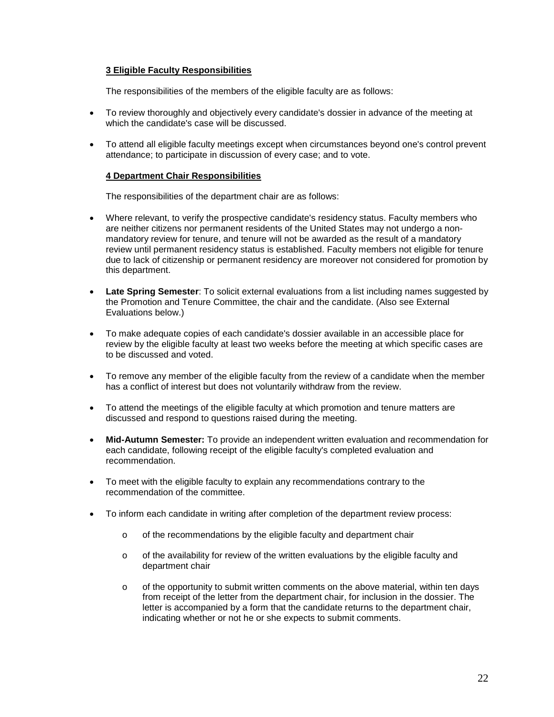### **3 Eligible Faculty Responsibilities**

The responsibilities of the members of the eligible faculty are as follows:

- To review thoroughly and objectively every candidate's dossier in advance of the meeting at which the candidate's case will be discussed.
- To attend all eligible faculty meetings except when circumstances beyond one's control prevent attendance; to participate in discussion of every case; and to vote.

#### **4 Department Chair Responsibilities**

The responsibilities of the department chair are as follows:

- Where relevant, to verify the prospective candidate's residency status. Faculty members who are neither citizens nor permanent residents of the United States may not undergo a nonmandatory review for tenure, and tenure will not be awarded as the result of a mandatory review until permanent residency status is established. Faculty members not eligible for tenure due to lack of citizenship or permanent residency are moreover not considered for promotion by this department.
- **Late Spring Semester**: To solicit external evaluations from a list including names suggested by the Promotion and Tenure Committee, the chair and the candidate. (Also see External Evaluations below.)
- To make adequate copies of each candidate's dossier available in an accessible place for review by the eligible faculty at least two weeks before the meeting at which specific cases are to be discussed and voted.
- To remove any member of the eligible faculty from the review of a candidate when the member has a conflict of interest but does not voluntarily withdraw from the review.
- To attend the meetings of the eligible faculty at which promotion and tenure matters are discussed and respond to questions raised during the meeting.
- **Mid-Autumn Semester:** To provide an independent written evaluation and recommendation for each candidate, following receipt of the eligible faculty's completed evaluation and recommendation.
- To meet with the eligible faculty to explain any recommendations contrary to the recommendation of the committee.
- To inform each candidate in writing after completion of the department review process:
	- o of the recommendations by the eligible faculty and department chair
	- $\circ$  of the availability for review of the written evaluations by the eligible faculty and department chair
	- $\circ$  of the opportunity to submit written comments on the above material, within ten days from receipt of the letter from the department chair, for inclusion in the dossier. The letter is accompanied by a form that the candidate returns to the department chair, indicating whether or not he or she expects to submit comments.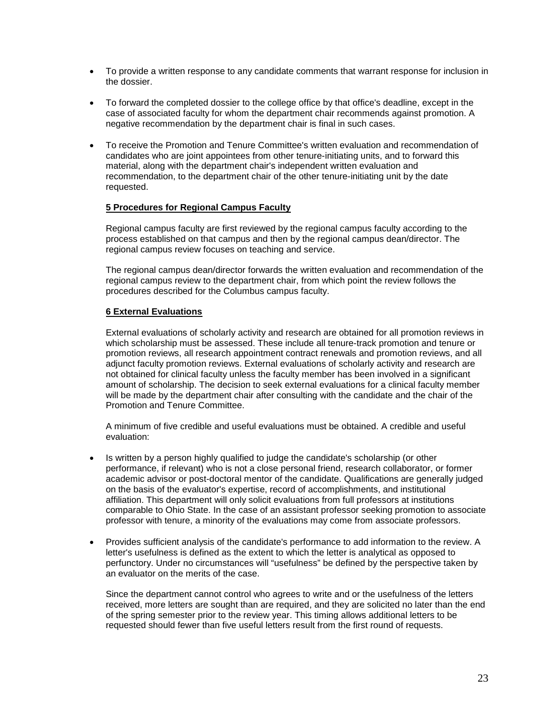- To provide a written response to any candidate comments that warrant response for inclusion in the dossier.
- To forward the completed dossier to the college office by that office's deadline, except in the case of associated faculty for whom the department chair recommends against promotion. A negative recommendation by the department chair is final in such cases.
- To receive the Promotion and Tenure Committee's written evaluation and recommendation of candidates who are joint appointees from other tenure-initiating units, and to forward this material, along with the department chair's independent written evaluation and recommendation, to the department chair of the other tenure-initiating unit by the date requested.

#### **5 Procedures for Regional Campus Faculty**

Regional campus faculty are first reviewed by the regional campus faculty according to the process established on that campus and then by the regional campus dean/director. The regional campus review focuses on teaching and service.

The regional campus dean/director forwards the written evaluation and recommendation of the regional campus review to the department chair, from which point the review follows the procedures described for the Columbus campus faculty.

### **6 External Evaluations**

External evaluations of scholarly activity and research are obtained for all promotion reviews in which scholarship must be assessed. These include all tenure-track promotion and tenure or promotion reviews, all research appointment contract renewals and promotion reviews, and all adjunct faculty promotion reviews. External evaluations of scholarly activity and research are not obtained for clinical faculty unless the faculty member has been involved in a significant amount of scholarship. The decision to seek external evaluations for a clinical faculty member will be made by the department chair after consulting with the candidate and the chair of the Promotion and Tenure Committee.

A minimum of five credible and useful evaluations must be obtained. A credible and useful evaluation:

- Is written by a person highly qualified to judge the candidate's scholarship (or other performance, if relevant) who is not a close personal friend, research collaborator, or former academic advisor or post-doctoral mentor of the candidate. Qualifications are generally judged on the basis of the evaluator's expertise, record of accomplishments, and institutional affiliation. This department will only solicit evaluations from full professors at institutions comparable to Ohio State. In the case of an assistant professor seeking promotion to associate professor with tenure, a minority of the evaluations may come from associate professors.
- Provides sufficient analysis of the candidate's performance to add information to the review. A letter's usefulness is defined as the extent to which the letter is analytical as opposed to perfunctory. Under no circumstances will "usefulness" be defined by the perspective taken by an evaluator on the merits of the case.

Since the department cannot control who agrees to write and or the usefulness of the letters received, more letters are sought than are required, and they are solicited no later than the end of the spring semester prior to the review year. This timing allows additional letters to be requested should fewer than five useful letters result from the first round of requests.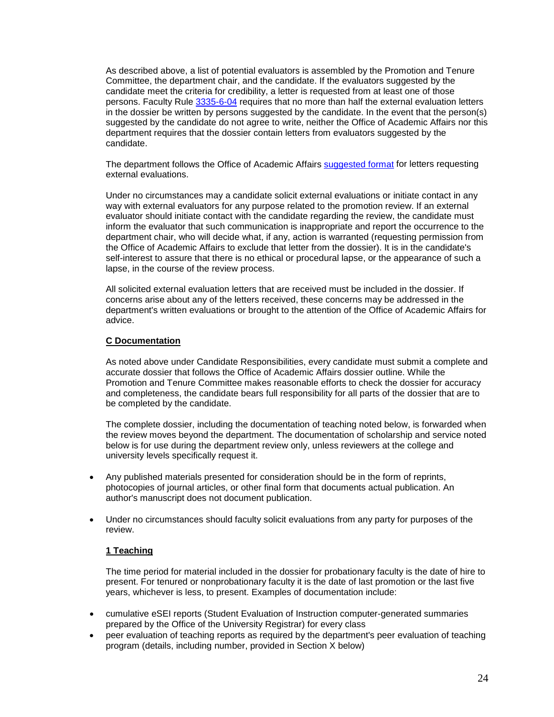As described above, a list of potential evaluators is assembled by the Promotion and Tenure Committee, the department chair, and the candidate. If the evaluators suggested by the candidate meet the criteria for credibility, a letter is requested from at least one of those persons. Faculty Rule [3335-6-04](https://trustees.osu.edu/rules/university-rules/chapter-3335-6-rules-of-the-university-faculty-concerning-faculty-appointments-reappointments-promotion-and-tenure.html) requires that no more than half the external evaluation letters in the dossier be written by persons suggested by the candidate. In the event that the person(s) suggested by the candidate do not agree to write, neither the Office of Academic Affairs nor this department requires that the dossier contain letters from evaluators suggested by the candidate.

The department follows the Office of Academic Affairs [suggested format](https://oaa.osu.edu/assets/files/documents/Letter201.pdf) for letters requesting external evaluations.

Under no circumstances may a candidate solicit external evaluations or initiate contact in any way with external evaluators for any purpose related to the promotion review. If an external evaluator should initiate contact with the candidate regarding the review, the candidate must inform the evaluator that such communication is inappropriate and report the occurrence to the department chair, who will decide what, if any, action is warranted (requesting permission from the Office of Academic Affairs to exclude that letter from the dossier). It is in the candidate's self-interest to assure that there is no ethical or procedural lapse, or the appearance of such a lapse, in the course of the review process.

All solicited external evaluation letters that are received must be included in the dossier. If concerns arise about any of the letters received, these concerns may be addressed in the department's written evaluations or brought to the attention of the Office of Academic Affairs for advice.

#### **C Documentation**

As noted above under Candidate Responsibilities, every candidate must submit a complete and accurate dossier that follows the Office of Academic Affairs dossier outline. While the Promotion and Tenure Committee makes reasonable efforts to check the dossier for accuracy and completeness, the candidate bears full responsibility for all parts of the dossier that are to be completed by the candidate.

The complete dossier, including the documentation of teaching noted below, is forwarded when the review moves beyond the department. The documentation of scholarship and service noted below is for use during the department review only, unless reviewers at the college and university levels specifically request it.

- Any published materials presented for consideration should be in the form of reprints, photocopies of journal articles, or other final form that documents actual publication. An author's manuscript does not document publication.
- Under no circumstances should faculty solicit evaluations from any party for purposes of the review.

#### **1 Teaching**

The time period for material included in the dossier for probationary faculty is the date of hire to present. For tenured or nonprobationary faculty it is the date of last promotion or the last five years, whichever is less, to present. Examples of documentation include:

- cumulative eSEI reports (Student Evaluation of Instruction computer-generated summaries prepared by the Office of the University Registrar) for every class
- peer evaluation of teaching reports as required by the department's peer evaluation of teaching program (details, including number, provided in Section X below)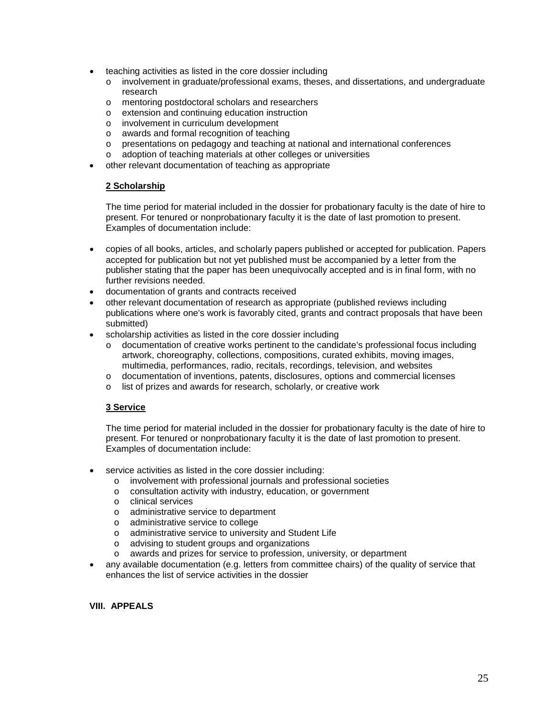- teaching activities as listed in the core dossier including
	- o involvement in graduate/professional exams, theses, and dissertations, and undergraduate research
	- o mentoring postdoctoral scholars and researchers
	- o extension and continuing education instruction
	- o involvement in curriculum development<br>o awards and formal recognition of teachi
	- awards and formal recognition of teaching
	- o presentations on pedagogy and teaching at national and international conferences
	- o adoption of teaching materials at other colleges or universities
- other relevant documentation of teaching as appropriate

### **2 Scholarship**

The time period for material included in the dossier for probationary faculty is the date of hire to present. For tenured or nonprobationary faculty it is the date of last promotion to present. Examples of documentation include:

- copies of all books, articles, and scholarly papers published or accepted for publication. Papers accepted for publication but not yet published must be accompanied by a letter from the publisher stating that the paper has been unequivocally accepted and is in final form, with no further revisions needed.
- documentation of grants and contracts received
- other relevant documentation of research as appropriate (published reviews including publications where one's work is favorably cited, grants and contract proposals that have been submitted)
- scholarship activities as listed in the core dossier including
	- o documentation of creative works pertinent to the candidate's professional focus including artwork, choreography, collections, compositions, curated exhibits, moving images, multimedia, performances, radio, recitals, recordings, television, and websites
	- o documentation of inventions, patents, disclosures, options and commercial licenses
	- o list of prizes and awards for research, scholarly, or creative work

### **3 Service**

The time period for material included in the dossier for probationary faculty is the date of hire to present. For tenured or nonprobationary faculty it is the date of last promotion to present. Examples of documentation include:

- service activities as listed in the core dossier including:
	- $\circ$  involvement with professional journals and professional societies  $\circ$  consultation activity with industry, education, or government
	- consultation activity with industry, education, or government
	- o clinical services<br>o administrative se
	- o administrative service to department<br>o administrative service to college
	- o administrative service to college<br>o administrative service to universi
	- administrative service to university and Student Life
	- o advising to student groups and organizations<br>o awards and prizes for service to profession, u
	- awards and prizes for service to profession, university, or department
- any available documentation (e.g. letters from committee chairs) of the quality of service that enhances the list of service activities in the dossier

#### **VIII. APPEALS**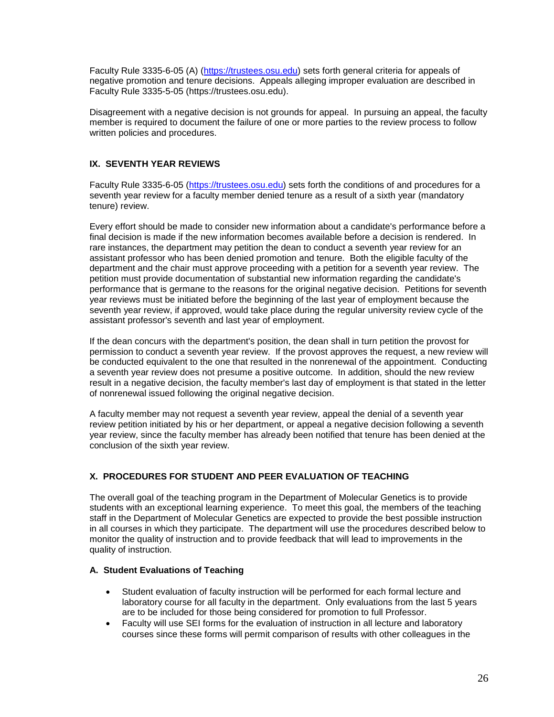Faculty Rule 3335-6-05 (A) [\(https://trustees.osu.edu\)](https://trustees.osu.edu/) sets forth general criteria for appeals of negative promotion and tenure decisions. Appeals alleging improper evaluation are described in Faculty Rule 3335-5-05 (https://trustees.osu.edu).

Disagreement with a negative decision is not grounds for appeal. In pursuing an appeal, the faculty member is required to document the failure of one or more parties to the review process to follow written policies and procedures.

# **IX. SEVENTH YEAR REVIEWS**

Faculty Rule 3335-6-05 [\(https://trustees.osu.edu\)](https://trustees.osu.edu/) sets forth the conditions of and procedures for a seventh year review for a faculty member denied tenure as a result of a sixth year (mandatory tenure) review.

Every effort should be made to consider new information about a candidate's performance before a final decision is made if the new information becomes available before a decision is rendered. In rare instances, the department may petition the dean to conduct a seventh year review for an assistant professor who has been denied promotion and tenure. Both the eligible faculty of the department and the chair must approve proceeding with a petition for a seventh year review. The petition must provide documentation of substantial new information regarding the candidate's performance that is germane to the reasons for the original negative decision. Petitions for seventh year reviews must be initiated before the beginning of the last year of employment because the seventh year review, if approved, would take place during the regular university review cycle of the assistant professor's seventh and last year of employment.

If the dean concurs with the department's position, the dean shall in turn petition the provost for permission to conduct a seventh year review. If the provost approves the request, a new review will be conducted equivalent to the one that resulted in the nonrenewal of the appointment. Conducting a seventh year review does not presume a positive outcome. In addition, should the new review result in a negative decision, the faculty member's last day of employment is that stated in the letter of nonrenewal issued following the original negative decision.

A faculty member may not request a seventh year review, appeal the denial of a seventh year review petition initiated by his or her department, or appeal a negative decision following a seventh year review, since the faculty member has already been notified that tenure has been denied at the conclusion of the sixth year review.

# **X. PROCEDURES FOR STUDENT AND PEER EVALUATION OF TEACHING**

The overall goal of the teaching program in the Department of Molecular Genetics is to provide students with an exceptional learning experience. To meet this goal, the members of the teaching staff in the Department of Molecular Genetics are expected to provide the best possible instruction in all courses in which they participate. The department will use the procedures described below to monitor the quality of instruction and to provide feedback that will lead to improvements in the quality of instruction.

### **A. Student Evaluations of Teaching**

- Student evaluation of faculty instruction will be performed for each formal lecture and laboratory course for all faculty in the department. Only evaluations from the last 5 years are to be included for those being considered for promotion to full Professor.
- Faculty will use SEI forms for the evaluation of instruction in all lecture and laboratory courses since these forms will permit comparison of results with other colleagues in the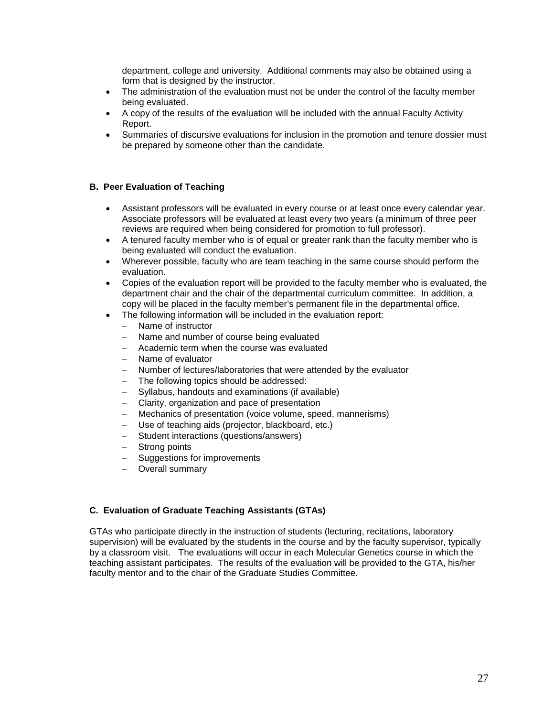department, college and university. Additional comments may also be obtained using a form that is designed by the instructor.

- The administration of the evaluation must not be under the control of the faculty member being evaluated.
- A copy of the results of the evaluation will be included with the annual Faculty Activity Report.
- Summaries of discursive evaluations for inclusion in the promotion and tenure dossier must be prepared by someone other than the candidate.

### **B. Peer Evaluation of Teaching**

- Assistant professors will be evaluated in every course or at least once every calendar year. Associate professors will be evaluated at least every two years (a minimum of three peer reviews are required when being considered for promotion to full professor).
- A tenured faculty member who is of equal or greater rank than the faculty member who is being evaluated will conduct the evaluation.
- Wherever possible, faculty who are team teaching in the same course should perform the evaluation.
- Copies of the evaluation report will be provided to the faculty member who is evaluated, the department chair and the chair of the departmental curriculum committee. In addition, a copy will be placed in the faculty member's permanent file in the departmental office.
- The following information will be included in the evaluation report:
	- − Name of instructor
	- − Name and number of course being evaluated
	- − Academic term when the course was evaluated
	- − Name of evaluator
	- − Number of lectures/laboratories that were attended by the evaluator
	- The following topics should be addressed:
	- − Syllabus, handouts and examinations (if available)
	- − Clarity, organization and pace of presentation
	- − Mechanics of presentation (voice volume, speed, mannerisms)
	- Use of teaching aids (projector, blackboard, etc.)
	- − Student interactions (questions/answers)
	- − Strong points
	- Suggestions for improvements
	- − Overall summary

### **C. Evaluation of Graduate Teaching Assistants (GTAs)**

GTAs who participate directly in the instruction of students (lecturing, recitations, laboratory supervision) will be evaluated by the students in the course and by the faculty supervisor, typically by a classroom visit. The evaluations will occur in each Molecular Genetics course in which the teaching assistant participates. The results of the evaluation will be provided to the GTA, his/her faculty mentor and to the chair of the Graduate Studies Committee.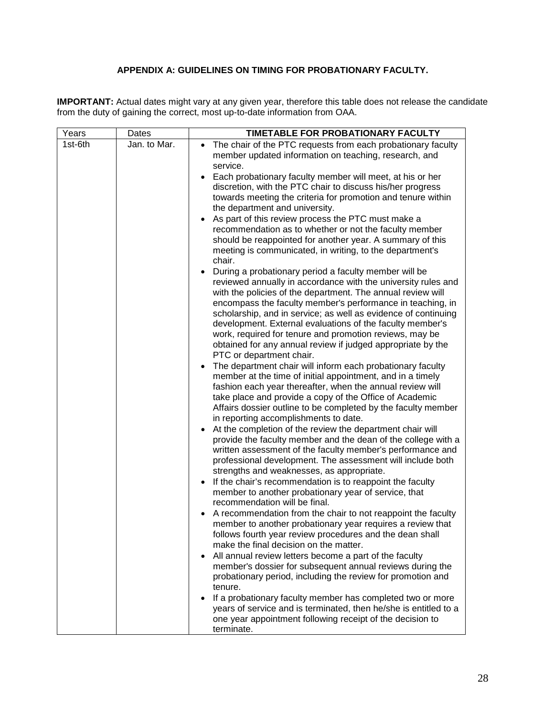# **APPENDIX A: GUIDELINES ON TIMING FOR PROBATIONARY FACULTY.**

**IMPORTANT:** Actual dates might vary at any given year, therefore this table does not release the candidate from the duty of gaining the correct, most up-to-date information from OAA.

| Years   | Dates        | TIMETABLE FOR PROBATIONARY FACULTY                                                                                       |
|---------|--------------|--------------------------------------------------------------------------------------------------------------------------|
| 1st-6th | Jan. to Mar. | The chair of the PTC requests from each probationary faculty                                                             |
|         |              | member updated information on teaching, research, and                                                                    |
|         |              | service.                                                                                                                 |
|         |              | Each probationary faculty member will meet, at his or her                                                                |
|         |              | discretion, with the PTC chair to discuss his/her progress                                                               |
|         |              | towards meeting the criteria for promotion and tenure within                                                             |
|         |              | the department and university.                                                                                           |
|         |              | As part of this review process the PTC must make a                                                                       |
|         |              | recommendation as to whether or not the faculty member                                                                   |
|         |              | should be reappointed for another year. A summary of this<br>meeting is communicated, in writing, to the department's    |
|         |              | chair.                                                                                                                   |
|         |              | During a probationary period a faculty member will be                                                                    |
|         |              | reviewed annually in accordance with the university rules and                                                            |
|         |              | with the policies of the department. The annual review will                                                              |
|         |              | encompass the faculty member's performance in teaching, in                                                               |
|         |              | scholarship, and in service; as well as evidence of continuing                                                           |
|         |              | development. External evaluations of the faculty member's                                                                |
|         |              | work, required for tenure and promotion reviews, may be                                                                  |
|         |              | obtained for any annual review if judged appropriate by the                                                              |
|         |              | PTC or department chair.                                                                                                 |
|         |              | The department chair will inform each probationary faculty                                                               |
|         |              | member at the time of initial appointment, and in a timely                                                               |
|         |              | fashion each year thereafter, when the annual review will                                                                |
|         |              | take place and provide a copy of the Office of Academic<br>Affairs dossier outline to be completed by the faculty member |
|         |              | in reporting accomplishments to date.                                                                                    |
|         |              | At the completion of the review the department chair will                                                                |
|         |              | provide the faculty member and the dean of the college with a                                                            |
|         |              | written assessment of the faculty member's performance and                                                               |
|         |              | professional development. The assessment will include both                                                               |
|         |              | strengths and weaknesses, as appropriate.                                                                                |
|         |              | If the chair's recommendation is to reappoint the faculty                                                                |
|         |              | member to another probationary year of service, that                                                                     |
|         |              | recommendation will be final.                                                                                            |
|         |              | A recommendation from the chair to not reappoint the faculty                                                             |
|         |              | member to another probationary year requires a review that                                                               |
|         |              | follows fourth year review procedures and the dean shall                                                                 |
|         |              | make the final decision on the matter.                                                                                   |
|         |              | All annual review letters become a part of the faculty<br>member's dossier for subsequent annual reviews during the      |
|         |              | probationary period, including the review for promotion and                                                              |
|         |              | tenure.                                                                                                                  |
|         |              | If a probationary faculty member has completed two or more                                                               |
|         |              | years of service and is terminated, then he/she is entitled to a                                                         |
|         |              | one year appointment following receipt of the decision to                                                                |
|         |              | terminate.                                                                                                               |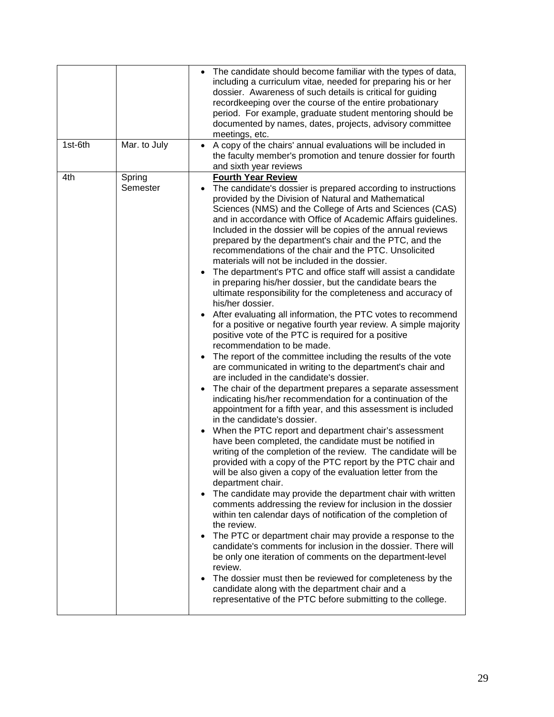|         |                    | The candidate should become familiar with the types of data,<br>including a curriculum vitae, needed for preparing his or her<br>dossier. Awareness of such details is critical for guiding<br>recordkeeping over the course of the entire probationary<br>period. For example, graduate student mentoring should be<br>documented by names, dates, projects, advisory committee<br>meetings, etc.                                                                                                                                                                                                                                                                                                                                                                                                                                                                                                                                                                                                                                                                                                                                                                                                                                                                                                                                                                                                                                                                                                                                                                                                                                                                                                                                                                                                                                                                                                                                                                                                                                                                                                                                                                                                                                                                                                                                                                      |
|---------|--------------------|-------------------------------------------------------------------------------------------------------------------------------------------------------------------------------------------------------------------------------------------------------------------------------------------------------------------------------------------------------------------------------------------------------------------------------------------------------------------------------------------------------------------------------------------------------------------------------------------------------------------------------------------------------------------------------------------------------------------------------------------------------------------------------------------------------------------------------------------------------------------------------------------------------------------------------------------------------------------------------------------------------------------------------------------------------------------------------------------------------------------------------------------------------------------------------------------------------------------------------------------------------------------------------------------------------------------------------------------------------------------------------------------------------------------------------------------------------------------------------------------------------------------------------------------------------------------------------------------------------------------------------------------------------------------------------------------------------------------------------------------------------------------------------------------------------------------------------------------------------------------------------------------------------------------------------------------------------------------------------------------------------------------------------------------------------------------------------------------------------------------------------------------------------------------------------------------------------------------------------------------------------------------------------------------------------------------------------------------------------------------------|
| 1st-6th | Mar. to July       | A copy of the chairs' annual evaluations will be included in<br>the faculty member's promotion and tenure dossier for fourth<br>and sixth year reviews                                                                                                                                                                                                                                                                                                                                                                                                                                                                                                                                                                                                                                                                                                                                                                                                                                                                                                                                                                                                                                                                                                                                                                                                                                                                                                                                                                                                                                                                                                                                                                                                                                                                                                                                                                                                                                                                                                                                                                                                                                                                                                                                                                                                                  |
| 4th     | Spring<br>Semester | <b>Fourth Year Review</b><br>The candidate's dossier is prepared according to instructions<br>$\bullet$<br>provided by the Division of Natural and Mathematical<br>Sciences (NMS) and the College of Arts and Sciences (CAS)<br>and in accordance with Office of Academic Affairs guidelines.<br>Included in the dossier will be copies of the annual reviews<br>prepared by the department's chair and the PTC, and the<br>recommendations of the chair and the PTC. Unsolicited<br>materials will not be included in the dossier.<br>The department's PTC and office staff will assist a candidate<br>in preparing his/her dossier, but the candidate bears the<br>ultimate responsibility for the completeness and accuracy of<br>his/her dossier.<br>After evaluating all information, the PTC votes to recommend<br>for a positive or negative fourth year review. A simple majority<br>positive vote of the PTC is required for a positive<br>recommendation to be made.<br>The report of the committee including the results of the vote<br>are communicated in writing to the department's chair and<br>are included in the candidate's dossier.<br>The chair of the department prepares a separate assessment<br>indicating his/her recommendation for a continuation of the<br>appointment for a fifth year, and this assessment is included<br>in the candidate's dossier.<br>When the PTC report and department chair's assessment<br>have been completed, the candidate must be notified in<br>writing of the completion of the review. The candidate will be<br>provided with a copy of the PTC report by the PTC chair and<br>will be also given a copy of the evaluation letter from the<br>department chair.<br>The candidate may provide the department chair with written<br>$\bullet$<br>comments addressing the review for inclusion in the dossier<br>within ten calendar days of notification of the completion of<br>the review.<br>The PTC or department chair may provide a response to the<br>$\bullet$<br>candidate's comments for inclusion in the dossier. There will<br>be only one iteration of comments on the department-level<br>review.<br>The dossier must then be reviewed for completeness by the<br>$\bullet$<br>candidate along with the department chair and a<br>representative of the PTC before submitting to the college. |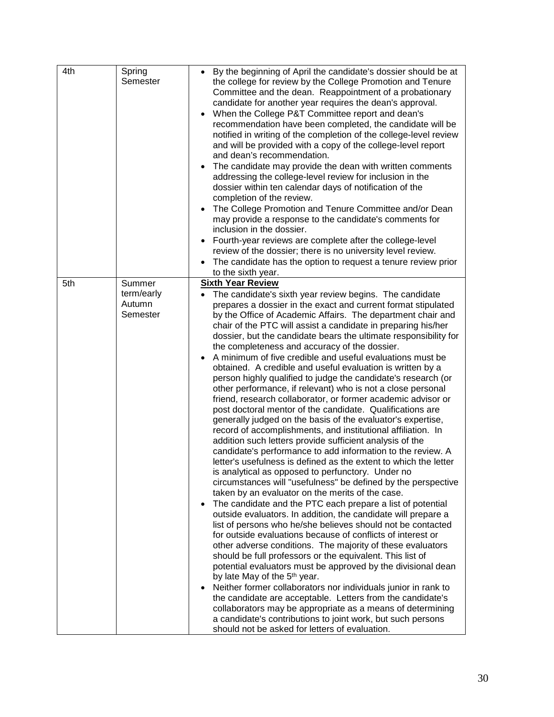| 4th | Spring<br>Semester                         | By the beginning of April the candidate's dossier should be at<br>the college for review by the College Promotion and Tenure<br>Committee and the dean. Reappointment of a probationary<br>candidate for another year requires the dean's approval.<br>When the College P&T Committee report and dean's<br>recommendation have been completed, the candidate will be<br>notified in writing of the completion of the college-level review<br>and will be provided with a copy of the college-level report<br>and dean's recommendation.<br>The candidate may provide the dean with written comments<br>addressing the college-level review for inclusion in the<br>dossier within ten calendar days of notification of the<br>completion of the review.<br>The College Promotion and Tenure Committee and/or Dean<br>may provide a response to the candidate's comments for<br>inclusion in the dossier.<br>Fourth-year reviews are complete after the college-level<br>review of the dossier; there is no university level review.<br>The candidate has the option to request a tenure review prior<br>to the sixth year.                                                                                                                                                                                                                                                                                                                                                                                                                                                                                                                                                                                                                                                                                                                                                                                                                                                                                                                                                                                                                |
|-----|--------------------------------------------|-------------------------------------------------------------------------------------------------------------------------------------------------------------------------------------------------------------------------------------------------------------------------------------------------------------------------------------------------------------------------------------------------------------------------------------------------------------------------------------------------------------------------------------------------------------------------------------------------------------------------------------------------------------------------------------------------------------------------------------------------------------------------------------------------------------------------------------------------------------------------------------------------------------------------------------------------------------------------------------------------------------------------------------------------------------------------------------------------------------------------------------------------------------------------------------------------------------------------------------------------------------------------------------------------------------------------------------------------------------------------------------------------------------------------------------------------------------------------------------------------------------------------------------------------------------------------------------------------------------------------------------------------------------------------------------------------------------------------------------------------------------------------------------------------------------------------------------------------------------------------------------------------------------------------------------------------------------------------------------------------------------------------------------------------------------------------------------------------------------------------------------------|
| 5th | Summer<br>term/early<br>Autumn<br>Semester | <b>Sixth Year Review</b><br>The candidate's sixth year review begins. The candidate<br>prepares a dossier in the exact and current format stipulated<br>by the Office of Academic Affairs. The department chair and<br>chair of the PTC will assist a candidate in preparing his/her<br>dossier, but the candidate bears the ultimate responsibility for<br>the completeness and accuracy of the dossier.<br>A minimum of five credible and useful evaluations must be<br>obtained. A credible and useful evaluation is written by a<br>person highly qualified to judge the candidate's research (or<br>other performance, if relevant) who is not a close personal<br>friend, research collaborator, or former academic advisor or<br>post doctoral mentor of the candidate. Qualifications are<br>generally judged on the basis of the evaluator's expertise,<br>record of accomplishments, and institutional affiliation. In<br>addition such letters provide sufficient analysis of the<br>candidate's performance to add information to the review. A<br>letter's usefulness is defined as the extent to which the letter<br>is analytical as opposed to perfunctory. Under no<br>circumstances will "usefulness" be defined by the perspective<br>taken by an evaluator on the merits of the case.<br>The candidate and the PTC each prepare a list of potential<br>$\bullet$<br>outside evaluators. In addition, the candidate will prepare a<br>list of persons who he/she believes should not be contacted<br>for outside evaluations because of conflicts of interest or<br>other adverse conditions. The majority of these evaluators<br>should be full professors or the equivalent. This list of<br>potential evaluators must be approved by the divisional dean<br>by late May of the 5 <sup>th</sup> year.<br>Neither former collaborators nor individuals junior in rank to<br>the candidate are acceptable. Letters from the candidate's<br>collaborators may be appropriate as a means of determining<br>a candidate's contributions to joint work, but such persons<br>should not be asked for letters of evaluation. |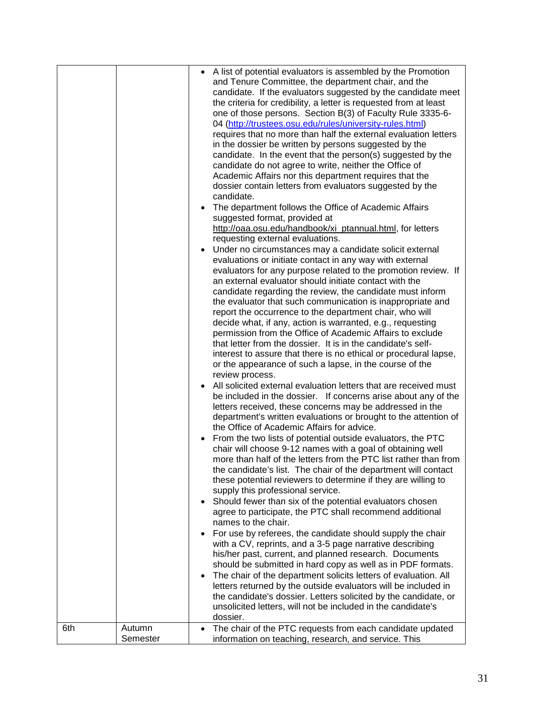|     |                    | A list of potential evaluators is assembled by the Promotion<br>٠<br>and Tenure Committee, the department chair, and the<br>candidate. If the evaluators suggested by the candidate meet<br>the criteria for credibility, a letter is requested from at least<br>one of those persons. Section B(3) of Faculty Rule 3335-6-<br>04 (http://trustees.osu.edu/rules/university-rules.html)<br>requires that no more than half the external evaluation letters<br>in the dossier be written by persons suggested by the<br>candidate. In the event that the person(s) suggested by the<br>candidate do not agree to write, neither the Office of<br>Academic Affairs nor this department requires that the<br>dossier contain letters from evaluators suggested by the<br>candidate.<br>The department follows the Office of Academic Affairs<br>$\bullet$<br>suggested format, provided at<br>http://oaa.osu.edu/handbook/xi_ptannual.html, for letters<br>requesting external evaluations.<br>Under no circumstances may a candidate solicit external<br>٠<br>evaluations or initiate contact in any way with external<br>evaluators for any purpose related to the promotion review. If<br>an external evaluator should initiate contact with the<br>candidate regarding the review, the candidate must inform<br>the evaluator that such communication is inappropriate and<br>report the occurrence to the department chair, who will<br>decide what, if any, action is warranted, e.g., requesting<br>permission from the Office of Academic Affairs to exclude<br>that letter from the dossier. It is in the candidate's self-<br>interest to assure that there is no ethical or procedural lapse,<br>or the appearance of such a lapse, in the course of the<br>review process.<br>All solicited external evaluation letters that are received must<br>$\bullet$<br>be included in the dossier. If concerns arise about any of the<br>letters received, these concerns may be addressed in the<br>department's written evaluations or brought to the attention of<br>the Office of Academic Affairs for advice.<br>From the two lists of potential outside evaluators, the PTC<br>chair will choose 9-12 names with a goal of obtaining well<br>more than half of the letters from the PTC list rather than from<br>the candidate's list. The chair of the department will contact<br>these potential reviewers to determine if they are willing to<br>supply this professional service.<br>Should fewer than six of the potential evaluators chosen<br>$\bullet$ |
|-----|--------------------|-----------------------------------------------------------------------------------------------------------------------------------------------------------------------------------------------------------------------------------------------------------------------------------------------------------------------------------------------------------------------------------------------------------------------------------------------------------------------------------------------------------------------------------------------------------------------------------------------------------------------------------------------------------------------------------------------------------------------------------------------------------------------------------------------------------------------------------------------------------------------------------------------------------------------------------------------------------------------------------------------------------------------------------------------------------------------------------------------------------------------------------------------------------------------------------------------------------------------------------------------------------------------------------------------------------------------------------------------------------------------------------------------------------------------------------------------------------------------------------------------------------------------------------------------------------------------------------------------------------------------------------------------------------------------------------------------------------------------------------------------------------------------------------------------------------------------------------------------------------------------------------------------------------------------------------------------------------------------------------------------------------------------------------------------------------------------------------------------------------------------------------------------------------------------------------------------------------------------------------------------------------------------------------------------------------------------------------------------------------------------------------------------------------------------------------------------------------------------------------------------------------------------------------------------------------------------|
|     |                    | agree to participate, the PTC shall recommend additional<br>names to the chair.                                                                                                                                                                                                                                                                                                                                                                                                                                                                                                                                                                                                                                                                                                                                                                                                                                                                                                                                                                                                                                                                                                                                                                                                                                                                                                                                                                                                                                                                                                                                                                                                                                                                                                                                                                                                                                                                                                                                                                                                                                                                                                                                                                                                                                                                                                                                                                                                                                                                                       |
|     |                    | For use by referees, the candidate should supply the chair<br>$\bullet$<br>with a CV, reprints, and a 3-5 page narrative describing<br>his/her past, current, and planned research. Documents                                                                                                                                                                                                                                                                                                                                                                                                                                                                                                                                                                                                                                                                                                                                                                                                                                                                                                                                                                                                                                                                                                                                                                                                                                                                                                                                                                                                                                                                                                                                                                                                                                                                                                                                                                                                                                                                                                                                                                                                                                                                                                                                                                                                                                                                                                                                                                         |
|     |                    | should be submitted in hard copy as well as in PDF formats.<br>The chair of the department solicits letters of evaluation. All<br>$\bullet$<br>letters returned by the outside evaluators will be included in<br>the candidate's dossier. Letters solicited by the candidate, or                                                                                                                                                                                                                                                                                                                                                                                                                                                                                                                                                                                                                                                                                                                                                                                                                                                                                                                                                                                                                                                                                                                                                                                                                                                                                                                                                                                                                                                                                                                                                                                                                                                                                                                                                                                                                                                                                                                                                                                                                                                                                                                                                                                                                                                                                      |
|     |                    | unsolicited letters, will not be included in the candidate's<br>dossier.                                                                                                                                                                                                                                                                                                                                                                                                                                                                                                                                                                                                                                                                                                                                                                                                                                                                                                                                                                                                                                                                                                                                                                                                                                                                                                                                                                                                                                                                                                                                                                                                                                                                                                                                                                                                                                                                                                                                                                                                                                                                                                                                                                                                                                                                                                                                                                                                                                                                                              |
| 6th | Autumn<br>Semester | The chair of the PTC requests from each candidate updated<br>$\bullet$<br>information on teaching, research, and service. This                                                                                                                                                                                                                                                                                                                                                                                                                                                                                                                                                                                                                                                                                                                                                                                                                                                                                                                                                                                                                                                                                                                                                                                                                                                                                                                                                                                                                                                                                                                                                                                                                                                                                                                                                                                                                                                                                                                                                                                                                                                                                                                                                                                                                                                                                                                                                                                                                                        |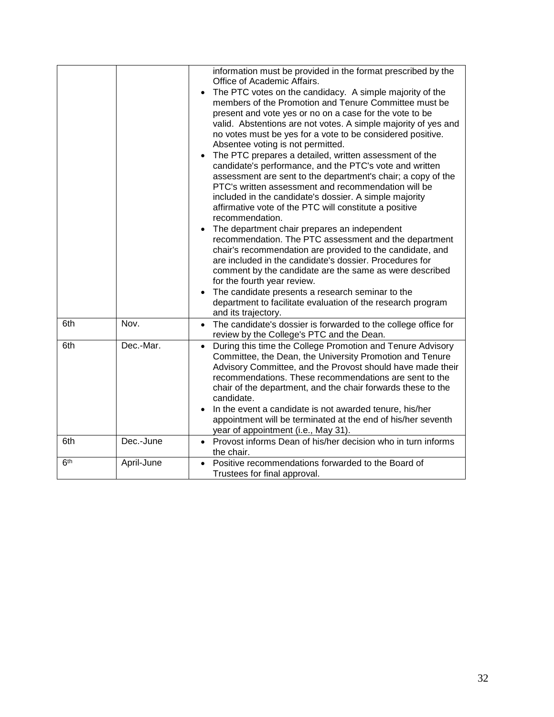|                 |            | information must be provided in the format prescribed by the<br>Office of Academic Affairs.<br>The PTC votes on the candidacy. A simple majority of the<br>members of the Promotion and Tenure Committee must be<br>present and vote yes or no on a case for the vote to be<br>valid. Abstentions are not votes. A simple majority of yes and<br>no votes must be yes for a vote to be considered positive.<br>Absentee voting is not permitted.<br>The PTC prepares a detailed, written assessment of the<br>$\bullet$<br>candidate's performance, and the PTC's vote and written<br>assessment are sent to the department's chair; a copy of the<br>PTC's written assessment and recommendation will be<br>included in the candidate's dossier. A simple majority<br>affirmative vote of the PTC will constitute a positive<br>recommendation.<br>The department chair prepares an independent<br>recommendation. The PTC assessment and the department<br>chair's recommendation are provided to the candidate, and<br>are included in the candidate's dossier. Procedures for<br>comment by the candidate are the same as were described<br>for the fourth year review.<br>The candidate presents a research seminar to the<br>department to facilitate evaluation of the research program<br>and its trajectory. |
|-----------------|------------|-----------------------------------------------------------------------------------------------------------------------------------------------------------------------------------------------------------------------------------------------------------------------------------------------------------------------------------------------------------------------------------------------------------------------------------------------------------------------------------------------------------------------------------------------------------------------------------------------------------------------------------------------------------------------------------------------------------------------------------------------------------------------------------------------------------------------------------------------------------------------------------------------------------------------------------------------------------------------------------------------------------------------------------------------------------------------------------------------------------------------------------------------------------------------------------------------------------------------------------------------------------------------------------------------------------------------|
| 6th             | Nov.       | The candidate's dossier is forwarded to the college office for<br>review by the College's PTC and the Dean.                                                                                                                                                                                                                                                                                                                                                                                                                                                                                                                                                                                                                                                                                                                                                                                                                                                                                                                                                                                                                                                                                                                                                                                                           |
| 6th             | Dec.-Mar.  | During this time the College Promotion and Tenure Advisory<br>Committee, the Dean, the University Promotion and Tenure<br>Advisory Committee, and the Provost should have made their<br>recommendations. These recommendations are sent to the<br>chair of the department, and the chair forwards these to the<br>candidate.<br>In the event a candidate is not awarded tenure, his/her<br>appointment will be terminated at the end of his/her seventh<br>year of appointment (i.e., May 31).                                                                                                                                                                                                                                                                                                                                                                                                                                                                                                                                                                                                                                                                                                                                                                                                                        |
| 6th             | Dec.-June  | Provost informs Dean of his/her decision who in turn informs<br>$\bullet$<br>the chair.                                                                                                                                                                                                                                                                                                                                                                                                                                                                                                                                                                                                                                                                                                                                                                                                                                                                                                                                                                                                                                                                                                                                                                                                                               |
| 6 <sup>th</sup> | April-June | Positive recommendations forwarded to the Board of<br>Trustees for final approval.                                                                                                                                                                                                                                                                                                                                                                                                                                                                                                                                                                                                                                                                                                                                                                                                                                                                                                                                                                                                                                                                                                                                                                                                                                    |